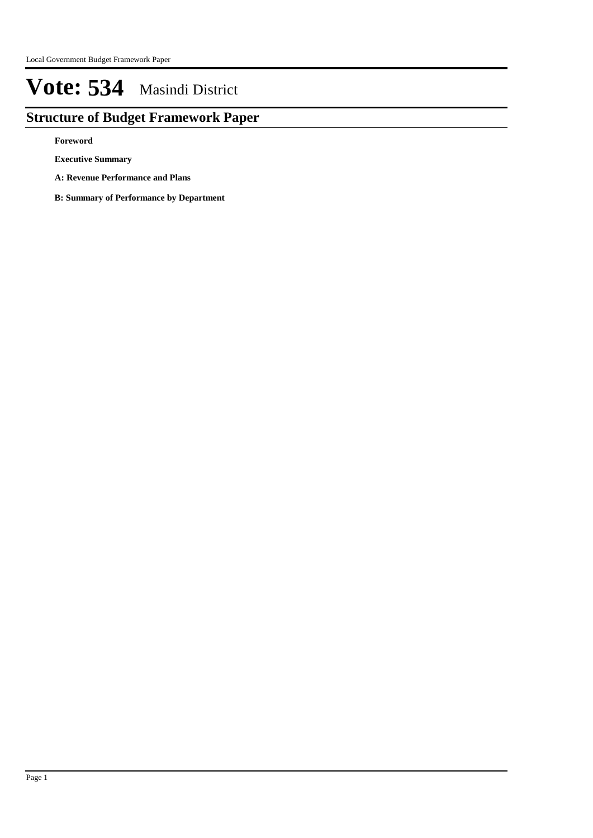# **Structure of Budget Framework Paper**

**Foreword**

**Executive Summary**

- **A: Revenue Performance and Plans**
- **B: Summary of Performance by Department**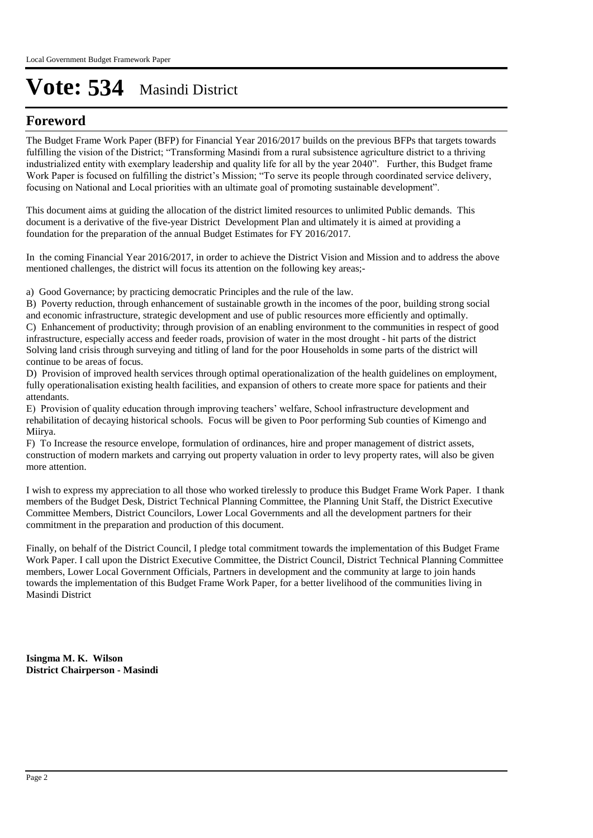# **Foreword**

The Budget Frame Work Paper (BFP) for Financial Year 2016/2017 builds on the previous BFPs that targets towards fulfilling the vision of the District; "Transforming Masindi from a rural subsistence agriculture district to a thriving industrialized entity with exemplary leadership and quality life for all by the year 2040". Further, this Budget frame Work Paper is focused on fulfilling the district's Mission; "To serve its people through coordinated service delivery, focusing on National and Local priorities with an ultimate goal of promoting sustainable development".

This document aims at guiding the allocation of the district limited resources to unlimited Public demands. This document is a derivative of the five-year District Development Plan and ultimately it is aimed at providing a foundation for the preparation of the annual Budget Estimates for FY 2016/2017.

In the coming Financial Year 2016/2017, in order to achieve the District Vision and Mission and to address the above mentioned challenges, the district will focus its attention on the following key areas;-

a) Good Governance; by practicing democratic Principles and the rule of the law.

B) Poverty reduction, through enhancement of sustainable growth in the incomes of the poor, building strong social and economic infrastructure, strategic development and use of public resources more efficiently and optimally. C) Enhancement of productivity; through provision of an enabling environment to the communities in respect of good infrastructure, especially access and feeder roads, provision of water in the most drought - hit parts of the district Solving land crisis through surveying and titling of land for the poor Households in some parts of the district will continue to be areas of focus.

D) Provision of improved health services through optimal operationalization of the health guidelines on employment, fully operationalisation existing health facilities, and expansion of others to create more space for patients and their attendants.

E) Provision of quality education through improving teachers' welfare, School infrastructure development and rehabilitation of decaying historical schools. Focus will be given to Poor performing Sub counties of Kimengo and Miirya.

F) To Increase the resource envelope, formulation of ordinances, hire and proper management of district assets, construction of modern markets and carrying out property valuation in order to levy property rates, will also be given more attention.

I wish to express my appreciation to all those who worked tirelessly to produce this Budget Frame Work Paper. I thank members of the Budget Desk, District Technical Planning Committee, the Planning Unit Staff, the District Executive Committee Members, District Councilors, Lower Local Governments and all the development partners for their commitment in the preparation and production of this document.

Finally, on behalf of the District Council, I pledge total commitment towards the implementation of this Budget Frame Work Paper. I call upon the District Executive Committee, the District Council, District Technical Planning Committee members, Lower Local Government Officials, Partners in development and the community at large to join hands towards the implementation of this Budget Frame Work Paper, for a better livelihood of the communities living in Masindi District

**Isingma M. K. Wilson District Chairperson - Masindi**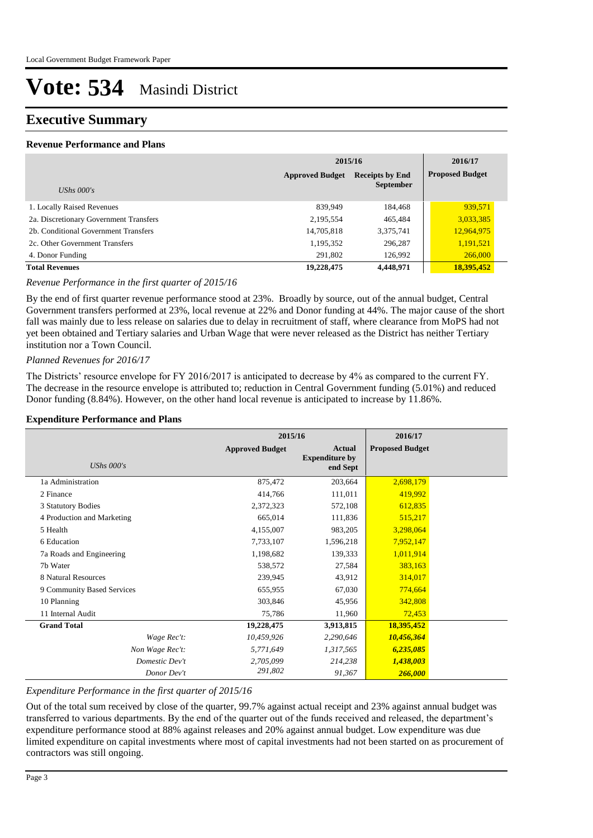# **Executive Summary**

# **Revenue Performance and Plans**

|                                        | 2015/16                                          | 2016/17          |                        |
|----------------------------------------|--------------------------------------------------|------------------|------------------------|
|                                        | <b>Approved Budget</b><br><b>Receipts by End</b> |                  | <b>Proposed Budget</b> |
| UShs $000's$                           |                                                  | <b>September</b> |                        |
| 1. Locally Raised Revenues             | 839,949                                          | 184,468          | 939,571                |
| 2a. Discretionary Government Transfers | 2,195,554                                        | 465,484          | 3,033,385              |
| 2b. Conditional Government Transfers   | 14,705,818                                       | 3,375,741        | 12,964,975             |
| 2c. Other Government Transfers         | 1,195,352                                        | 296,287          | 1,191,521              |
| 4. Donor Funding                       | 291,802                                          | 126,992          | 266,000                |
| <b>Total Revenues</b>                  | 19,228,475                                       | 4,448,971        | 18,395,452             |

# *Revenue Performance in the first quarter of 2015/16*

By the end of first quarter revenue performance stood at 23%. Broadly by source, out of the annual budget, Central Government transfers performed at 23%, local revenue at 22% and Donor funding at 44%. The major cause of the short fall was mainly due to less release on salaries due to delay in recruitment of staff, where clearance from MoPS had not yet been obtained and Tertiary salaries and Urban Wage that were never released as the District has neither Tertiary institution nor a Town Council.

# *Planned Revenues for 2016/17*

The Districts' resource envelope for FY 2016/2017 is anticipated to decrease by 4% as compared to the current FY. The decrease in the resource envelope is attributed to; reduction in Central Government funding (5.01%) and reduced Donor funding (8.84%). However, on the other hand local revenue is anticipated to increase by 11.86%.

# **Expenditure Performance and Plans**

|                            | 2015/16                |                                             | 2016/17                |  |
|----------------------------|------------------------|---------------------------------------------|------------------------|--|
| UShs $000's$               | <b>Approved Budget</b> | Actual<br><b>Expenditure by</b><br>end Sept | <b>Proposed Budget</b> |  |
| 1a Administration          | 875,472                | 203,664                                     | 2,698,179              |  |
| 2 Finance                  | 414,766                | 111,011                                     | 419,992                |  |
| 3 Statutory Bodies         | 2,372,323              | 572,108                                     | 612,835                |  |
| 4 Production and Marketing | 665,014                | 111,836                                     | 515,217                |  |
| 5 Health                   | 4,155,007              | 983,205                                     | 3,298,064              |  |
| 6 Education                | 7,733,107              | 1,596,218                                   | 7,952,147              |  |
| 7a Roads and Engineering   | 1,198,682              | 139,333                                     | 1,011,914              |  |
| 7b Water                   | 538,572                | 27,584                                      | 383,163                |  |
| 8 Natural Resources        | 239,945                | 43,912                                      | 314,017                |  |
| 9 Community Based Services | 655,955                | 67,030                                      | 774,664                |  |
| 10 Planning                | 303,846                | 45,956                                      | 342,808                |  |
| 11 Internal Audit          | 75,786                 | 11,960                                      | 72,453                 |  |
| <b>Grand Total</b>         | 19,228,475             | 3,913,815                                   | 18,395,452             |  |
| Wage Rec't:                | 10,459,926             | 2,290,646                                   | 10,456,364             |  |
| Non Wage Rec't:            | 5,771,649              | 1,317,565                                   | 6,235,085              |  |
| Domestic Dev't             | 2,705,099              | 214,238                                     | 1,438,003              |  |
| Donor Dev't                | 291,802                | 91,367                                      | 266,000                |  |

# *Expenditure Performance in the first quarter of 2015/16*

Out of the total sum received by close of the quarter, 99.7% against actual receipt and 23% against annual budget was transferred to various departments. By the end of the quarter out of the funds received and released, the department's expenditure performance stood at 88% against releases and 20% against annual budget. Low expenditure was due limited expenditure on capital investments where most of capital investments had not been started on as procurement of contractors was still ongoing.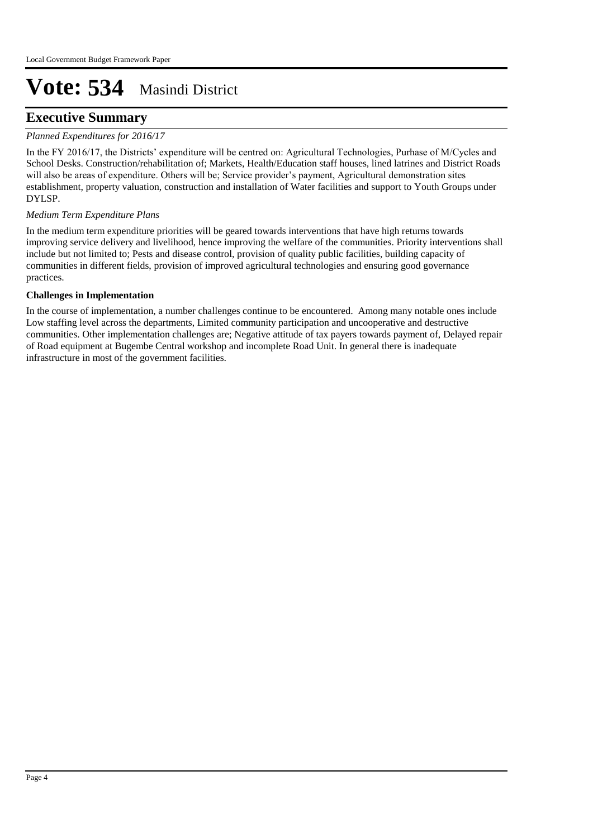# **Executive Summary**

# *Planned Expenditures for 2016/17*

In the FY 2016/17, the Districts' expenditure will be centred on: Agricultural Technologies, Purhase of M/Cycles and School Desks. Construction/rehabilitation of; Markets, Health/Education staff houses, lined latrines and District Roads will also be areas of expenditure. Others will be; Service provider's payment, Agricultural demonstration sites establishment, property valuation, construction and installation of Water facilities and support to Youth Groups under DYLSP.

# *Medium Term Expenditure Plans*

In the medium term expenditure priorities will be geared towards interventions that have high returns towards improving service delivery and livelihood, hence improving the welfare of the communities. Priority interventions shall include but not limited to; Pests and disease control, provision of quality public facilities, building capacity of communities in different fields, provision of improved agricultural technologies and ensuring good governance practices.

# **Challenges in Implementation**

In the course of implementation, a number challenges continue to be encountered. Among many notable ones include Low staffing level across the departments, Limited community participation and uncooperative and destructive communities. Other implementation challenges are; Negative attitude of tax payers towards payment of, Delayed repair of Road equipment at Bugembe Central workshop and incomplete Road Unit. In general there is inadequate infrastructure in most of the government facilities.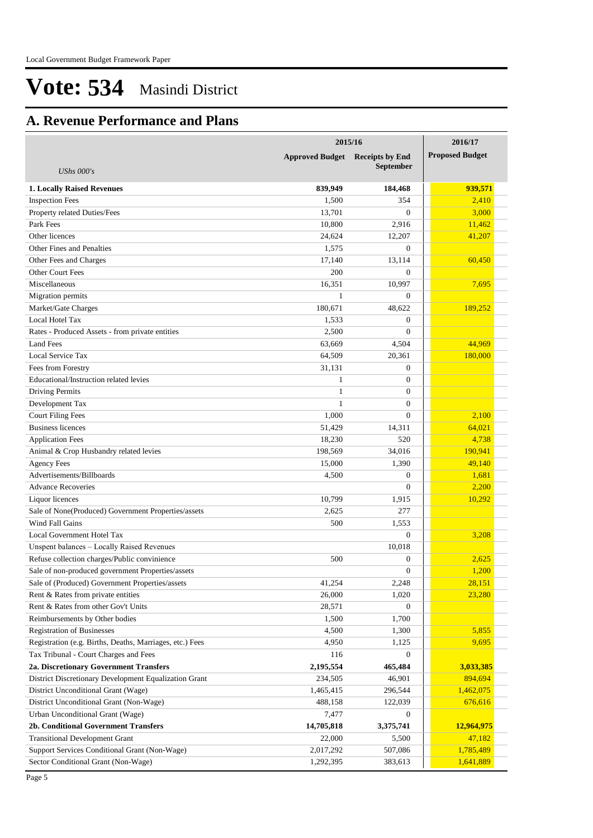# **A. Revenue Performance and Plans**

|                                                          | 2015/16                                |                  |  | 2016/17                |
|----------------------------------------------------------|----------------------------------------|------------------|--|------------------------|
|                                                          | <b>Approved Budget</b> Receipts by End |                  |  | <b>Proposed Budget</b> |
| <b>UShs 000's</b>                                        |                                        | <b>September</b> |  |                        |
| <b>1. Locally Raised Revenues</b>                        | 839,949                                | 184,468          |  | 939,571                |
| <b>Inspection Fees</b>                                   | 1,500                                  | 354              |  | 2,410                  |
| Property related Duties/Fees                             | 13,701                                 | $\Omega$         |  | 3,000                  |
| Park Fees                                                | 10,800                                 | 2,916            |  | 11,462                 |
| Other licences                                           | 24.624                                 | 12,207           |  | 41,207                 |
| Other Fines and Penalties                                | 1,575                                  | $\mathbf{0}$     |  |                        |
| Other Fees and Charges                                   | 17.140                                 | 13,114           |  | 60,450                 |
| Other Court Fees                                         | 200                                    | $\Omega$         |  |                        |
| Miscellaneous                                            | 16,351                                 | 10,997           |  | 7,695                  |
| Migration permits                                        | $\mathbf{1}$                           | $\mathbf{0}$     |  |                        |
| Market/Gate Charges                                      | 180,671                                | 48,622           |  | 189,252                |
| Local Hotel Tax                                          | 1,533                                  | $\overline{0}$   |  |                        |
| Rates - Produced Assets - from private entities          | 2,500                                  | $\mathbf{0}$     |  |                        |
| <b>Land Fees</b>                                         | 63,669                                 | 4,504            |  | 44,969                 |
| Local Service Tax                                        | 64,509                                 | 20,361           |  | 180,000                |
| Fees from Forestry                                       | 31,131                                 | $\overline{0}$   |  |                        |
| Educational/Instruction related levies                   | $\mathbf{1}$                           | $\overline{0}$   |  |                        |
| Driving Permits                                          | $\mathbf{1}$                           | $\mathbf{0}$     |  |                        |
| Development Tax                                          | 1                                      | $\mathbf{0}$     |  |                        |
| <b>Court Filing Fees</b>                                 | 1,000                                  | $\Omega$         |  | 2,100                  |
| <b>Business licences</b>                                 | 51,429                                 | 14,311           |  | 64,021                 |
| <b>Application Fees</b>                                  | 18,230                                 | 520              |  | 4,738                  |
| Animal & Crop Husbandry related levies                   | 198,569                                | 34,016           |  | 190,941                |
| <b>Agency Fees</b>                                       | 15,000                                 | 1,390            |  | 49,140                 |
| Advertisements/Billboards                                | 4,500                                  | $\overline{0}$   |  | 1,681                  |
| <b>Advance Recoveries</b>                                |                                        | $\Omega$         |  | 2,200                  |
| Liquor licences                                          | 10,799                                 | 1,915            |  | 10,292                 |
| Sale of None(Produced) Government Properties/assets      | 2,625                                  | 277              |  |                        |
| Wind Fall Gains                                          | 500                                    | 1,553            |  |                        |
| Local Government Hotel Tax                               |                                        | $\mathbf{0}$     |  | 3,208                  |
| Unspent balances - Locally Raised Revenues               |                                        | 10,018           |  |                        |
| Refuse collection charges/Public convinience             | 500                                    | $\overline{0}$   |  | 2,625                  |
| Sale of non-produced government Properties/assets        |                                        | $\mathbf{0}$     |  | 1,200                  |
| Sale of (Produced) Government Properties/assets          | 41,254                                 | 2,248            |  | 28,151                 |
| Rent & Rates from private entities                       | 26,000                                 | 1,020            |  | 23,280                 |
| Rent & Rates from other Gov't Units                      | 28,571                                 | $\mathbf{0}$     |  |                        |
| Reimbursements by Other bodies                           | 1,500                                  | 1,700            |  |                        |
| <b>Registration of Businesses</b>                        | 4,500                                  | 1,300            |  | 5,855                  |
| Registration (e.g. Births, Deaths, Marriages, etc.) Fees | 4,950                                  | 1,125            |  | 9,695                  |
| Tax Tribunal - Court Charges and Fees                    | 116                                    | $\mathbf{0}$     |  |                        |
| 2a. Discretionary Government Transfers                   | 2,195,554                              | 465,484          |  | 3,033,385              |
| District Discretionary Development Equalization Grant    | 234,505                                | 46,901           |  | 894,694                |
| District Unconditional Grant (Wage)                      | 1,465,415                              | 296,544          |  | 1,462,075              |
| District Unconditional Grant (Non-Wage)                  | 488,158                                | 122,039          |  | 676,616                |
| Urban Unconditional Grant (Wage)                         | 7,477                                  | $\mathbf{0}$     |  |                        |
| 2b. Conditional Government Transfers                     | 14,705,818                             | 3,375,741        |  | 12,964,975             |
| <b>Transitional Development Grant</b>                    | 22,000                                 | 5,500            |  | 47,182                 |
| Support Services Conditional Grant (Non-Wage)            | 2,017,292                              | 507,086          |  | 1,785,489              |
| Sector Conditional Grant (Non-Wage)                      | 1,292,395                              | 383,613          |  | 1,641,889              |
|                                                          |                                        |                  |  |                        |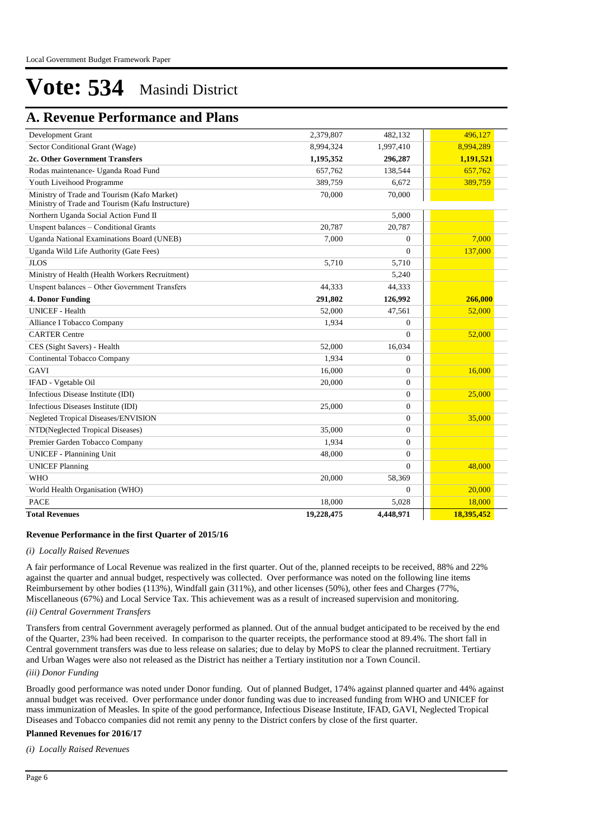# **A. Revenue Performance and Plans**

| Development Grant                                                                               | 2,379,807  | 482,132        | 496,127    |
|-------------------------------------------------------------------------------------------------|------------|----------------|------------|
| Sector Conditional Grant (Wage)                                                                 | 8,994,324  | 1,997,410      | 8,994,289  |
| 2c. Other Government Transfers                                                                  | 1,195,352  | 296,287        | 1,191,521  |
| Rodas maintenance- Uganda Road Fund                                                             | 657,762    | 138,544        | 657,762    |
| Youth Liveihood Programme                                                                       | 389,759    | 6,672          | 389,759    |
| Ministry of Trade and Tourism (Kafo Market)<br>Ministry of Trade and Tourism (Kafu Instructure) | 70,000     | 70,000         |            |
| Northern Uganda Social Action Fund II                                                           |            | 5,000          |            |
| Unspent balances - Conditional Grants                                                           | 20.787     | 20,787         |            |
| Uganda National Examinations Board (UNEB)                                                       | 7.000      | $\Omega$       | 7.000      |
| Uganda Wild Life Authority (Gate Fees)                                                          |            | $\theta$       | 137,000    |
| <b>JLOS</b>                                                                                     | 5,710      | 5,710          |            |
| Ministry of Health (Health Workers Recruitment)                                                 |            | 5,240          |            |
| Unspent balances - Other Government Transfers                                                   | 44,333     | 44,333         |            |
| 4. Donor Funding                                                                                | 291,802    | 126,992        | 266,000    |
| <b>UNICEF</b> - Health                                                                          | 52,000     | 47,561         | 52,000     |
| Alliance I Tobacco Company                                                                      | 1,934      | $\Omega$       |            |
| <b>CARTER Centre</b>                                                                            |            | $\Omega$       | 52,000     |
| CES (Sight Savers) - Health                                                                     | 52,000     | 16,034         |            |
| Continental Tobacco Company                                                                     | 1,934      | $\overline{0}$ |            |
| GAVI                                                                                            | 16,000     | $\overline{0}$ | 16.000     |
| IFAD - Vgetable Oil                                                                             | 20,000     | $\theta$       |            |
| Infectious Disease Institute (IDI)                                                              |            | $\overline{0}$ | 25,000     |
| Infectious Diseases Institute (IDI)                                                             | 25,000     | $\Omega$       |            |
| Negleted Tropical Diseases/ENVISION                                                             |            | $\overline{0}$ | 35,000     |
| NTD(Neglected Tropical Diseases)                                                                | 35,000     | $\overline{0}$ |            |
| Premier Garden Tobacco Company                                                                  | 1,934      | $\overline{0}$ |            |
| <b>UNICEF</b> - Plannining Unit                                                                 | 48,000     | $\Omega$       |            |
| <b>UNICEF Planning</b>                                                                          |            | $\Omega$       | 48,000     |
| <b>WHO</b>                                                                                      | 20,000     | 58,369         |            |
| World Health Organisation (WHO)                                                                 |            | $\overline{0}$ | 20,000     |
| <b>PACE</b>                                                                                     | 18,000     | 5,028          | 18,000     |
| <b>Total Revenues</b>                                                                           | 19,228,475 | 4,448,971      | 18,395,452 |

#### **Revenue Performance in the first Quarter of 2015/16**

#### *(i) Locally Raised Revenues*

A fair performance of Local Revenue was realized in the first quarter. Out of the, planned receipts to be received, 88% and 22% against the quarter and annual budget, respectively was collected. Over performance was noted on the following line items Reimbursement by other bodies (113%), Windfall gain (311%), and other licenses (50%), other fees and Charges (77%, Miscellaneous (67%) and Local Service Tax. This achievement was as a result of increased supervision and monitoring.

# *(ii) Central Government Transfers*

Transfers from central Government averagely performed as planned. Out of the annual budget anticipated to be received by the end of the Quarter, 23% had been received. In comparison to the quarter receipts, the performance stood at 89.4%. The short fall in Central government transfers was due to less release on salaries; due to delay by MoPS to clear the planned recruitment. Tertiary and Urban Wages were also not released as the District has neither a Tertiary institution nor a Town Council.

*(iii) Donor Funding*

Broadly good performance was noted under Donor funding. Out of planned Budget, 174% against planned quarter and 44% against annual budget was received. Over performance under donor funding was due to increased funding from WHO and UNICEF for mass immunization of Measles. In spite of the good performance, Infectious Disease Institute, IFAD, GAVI, Neglected Tropical Diseases and Tobacco companies did not remit any penny to the District confers by close of the first quarter.

#### **Planned Revenues for 2016/17**

*(i) Locally Raised Revenues*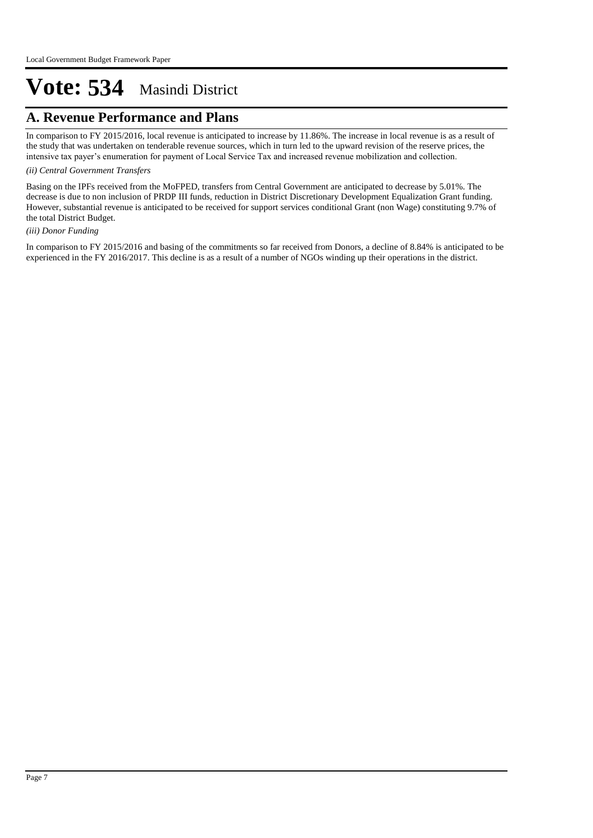# **A. Revenue Performance and Plans**

In comparison to FY 2015/2016, local revenue is anticipated to increase by 11.86%. The increase in local revenue is as a result of the study that was undertaken on tenderable revenue sources, which in turn led to the upward revision of the reserve prices, the intensive tax payer's enumeration for payment of Local Service Tax and increased revenue mobilization and collection.

#### *(ii) Central Government Transfers*

Basing on the IPFs received from the MoFPED, transfers from Central Government are anticipated to decrease by 5.01%. The decrease is due to non inclusion of PRDP III funds, reduction in District Discretionary Development Equalization Grant funding. However, substantial revenue is anticipated to be received for support services conditional Grant (non Wage) constituting 9.7% of the total District Budget.

#### *(iii) Donor Funding*

In comparison to FY 2015/2016 and basing of the commitments so far received from Donors, a decline of 8.84% is anticipated to be experienced in the FY 2016/2017. This decline is as a result of a number of NGOs winding up their operations in the district.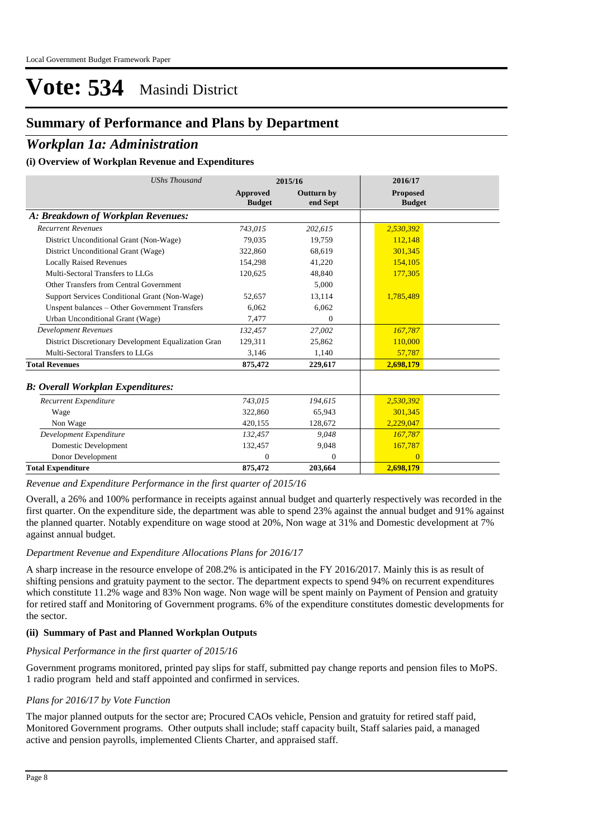# **Summary of Performance and Plans by Department**

# *Workplan 1a: Administration*

#### **(i) Overview of Workplan Revenue and Expenditures**

| <b>UShs Thousand</b>                                 |                           | 2015/16                       | 2016/17                          |
|------------------------------------------------------|---------------------------|-------------------------------|----------------------------------|
|                                                      | Approved<br><b>Budget</b> | <b>Outturn by</b><br>end Sept | <b>Proposed</b><br><b>Budget</b> |
| A: Breakdown of Workplan Revenues:                   |                           |                               |                                  |
| <b>Recurrent Revenues</b>                            | 743,015                   | 202,615                       | 2,530,392                        |
| District Unconditional Grant (Non-Wage)              | 79.035                    | 19,759                        | 112,148                          |
| District Unconditional Grant (Wage)                  | 322,860                   | 68,619                        | 301,345                          |
| <b>Locally Raised Revenues</b>                       | 154,298                   | 41,220                        | 154,105                          |
| Multi-Sectoral Transfers to LLGs                     | 120,625                   | 48,840                        | 177,305                          |
| Other Transfers from Central Government              |                           | 5,000                         |                                  |
| Support Services Conditional Grant (Non-Wage)        | 52,657                    | 13,114                        | 1,785,489                        |
| Unspent balances - Other Government Transfers        | 6,062                     | 6,062                         |                                  |
| Urban Unconditional Grant (Wage)                     | 7,477                     | $\mathbf{0}$                  |                                  |
| <b>Development Revenues</b>                          | 132,457                   | 27,002                        | 167,787                          |
| District Discretionary Development Equalization Gran | 129.311                   | 25.862                        | 110,000                          |
| Multi-Sectoral Transfers to LLGs                     | 3.146                     | 1,140                         | 57,787                           |
| <b>Total Revenues</b>                                | 875,472                   | 229,617                       | 2,698,179                        |
| <b>B: Overall Workplan Expenditures:</b>             |                           |                               |                                  |
| Recurrent Expenditure                                | 743.015                   | 194,615                       | 2,530,392                        |
| Wage                                                 | 322,860                   | 65,943                        | 301.345                          |
| Non Wage                                             | 420.155                   | 128,672                       | 2,229,047                        |
| Development Expenditure                              | 132,457                   | 9.048                         | 167,787                          |
| Domestic Development                                 | 132,457                   | 9.048                         | 167,787                          |
| Donor Development                                    | $\mathbf{0}$              | $\overline{0}$                | $\overline{0}$                   |
| <b>Total Expenditure</b>                             | 875,472                   | 203,664                       | 2,698,179                        |

*Revenue and Expenditure Performance in the first quarter of 2015/16*

Overall, a 26% and 100% performance in receipts against annual budget and quarterly respectively was recorded in the first quarter. On the expenditure side, the department was able to spend 23% against the annual budget and 91% against the planned quarter. Notably expenditure on wage stood at 20%, Non wage at 31% and Domestic development at 7% against annual budget.

#### *Department Revenue and Expenditure Allocations Plans for 2016/17*

A sharp increase in the resource envelope of 208.2% is anticipated in the FY 2016/2017. Mainly this is as result of shifting pensions and gratuity payment to the sector. The department expects to spend 94% on recurrent expenditures which constitute 11.2% wage and 83% Non wage. Non wage will be spent mainly on Payment of Pension and gratuity for retired staff and Monitoring of Government programs. 6% of the expenditure constitutes domestic developments for the sector.

#### **(ii) Summary of Past and Planned Workplan Outputs**

#### *Physical Performance in the first quarter of 2015/16*

Government programs monitored, printed pay slips for staff, submitted pay change reports and pension files to MoPS. 1 radio program held and staff appointed and confirmed in services.

#### *Plans for 2016/17 by Vote Function*

The major planned outputs for the sector are; Procured CAOs vehicle, Pension and gratuity for retired staff paid, Monitored Government programs. Other outputs shall include; staff capacity built, Staff salaries paid, a managed active and pension payrolls, implemented Clients Charter, and appraised staff.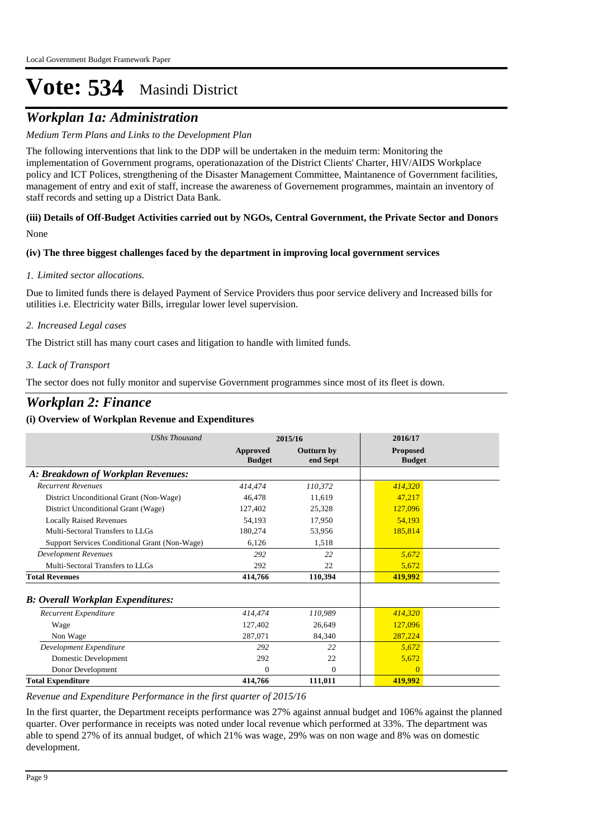# *Workplan 1a: Administration*

# *Medium Term Plans and Links to the Development Plan*

The following interventions that link to the DDP will be undertaken in the meduim term: Monitoring the implementation of Government programs, operationazation of the District Clients' Charter, HIV/AIDS Workplace policy and ICT Polices, strengthening of the Disaster Management Committee, Maintanence of Government facilities, management of entry and exit of staff, increase the awareness of Governement programmes, maintain an inventory of staff records and setting up a District Data Bank.

# None **(iii) Details of Off-Budget Activities carried out by NGOs, Central Government, the Private Sector and Donors**

# **(iv) The three biggest challenges faced by the department in improving local government services**

# *Limited sector allocations. 1.*

Due to limited funds there is delayed Payment of Service Providers thus poor service delivery and Increased bills for utilities i.e. Electricity water Bills, irregular lower level supervision.

# *Increased Legal cases 2.*

The District still has many court cases and litigation to handle with limited funds.

# *Lack of Transport 3.*

The sector does not fully monitor and supervise Government programmes since most of its fleet is down.

# *Workplan 2: Finance*

# **(i) Overview of Workplan Revenue and Expenditures**

| <b>UShs Thousand</b>                          | 2015/16                          |                               | 2016/17                          |  |
|-----------------------------------------------|----------------------------------|-------------------------------|----------------------------------|--|
|                                               | <b>Approved</b><br><b>Budget</b> | <b>Outturn by</b><br>end Sept | <b>Proposed</b><br><b>Budget</b> |  |
| A: Breakdown of Workplan Revenues:            |                                  |                               |                                  |  |
| <b>Recurrent Revenues</b>                     | 414,474                          | 110,372                       | 414,320                          |  |
| District Unconditional Grant (Non-Wage)       | 46,478                           | 11,619                        | 47,217                           |  |
| District Unconditional Grant (Wage)           | 127,402                          | 25,328                        | 127,096                          |  |
| <b>Locally Raised Revenues</b>                | 54,193                           | 17,950                        | 54,193                           |  |
| Multi-Sectoral Transfers to LLGs              | 180,274                          | 53,956                        | 185,814                          |  |
| Support Services Conditional Grant (Non-Wage) | 6,126                            | 1,518                         |                                  |  |
| <b>Development Revenues</b>                   | 292                              | 22                            | 5,672                            |  |
| Multi-Sectoral Transfers to LLGs              | 292                              | 22                            | 5,672                            |  |
| <b>Total Revenues</b>                         | 414,766                          | 110,394                       | 419,992                          |  |
| <b>B: Overall Workplan Expenditures:</b>      |                                  |                               |                                  |  |
| Recurrent Expenditure                         | 414,474                          | 110,989                       | 414,320                          |  |
| Wage                                          | 127,402                          | 26.649                        | 127,096                          |  |
| Non Wage                                      | 287,071                          | 84,340                        | 287,224                          |  |
| Development Expenditure                       | 292                              | 22                            | 5,672                            |  |
| Domestic Development                          | 292                              | 22                            | 5,672                            |  |
| Donor Development                             | $\Omega$                         | $\overline{0}$                | $\overline{0}$                   |  |
| <b>Total Expenditure</b>                      | 414,766                          | 111,011                       | 419,992                          |  |

*Revenue and Expenditure Performance in the first quarter of 2015/16*

*Department Revenue and Expenditure Allocations Plans for 2016/17*

In the first quarter, the Department receipts performance was 27% against annual budget and 106% against the planned quarter. Over performance in receipts was noted under local revenue which performed at 33%. The department was able to spend 27% of its annual budget, of which 21% was wage, 29% was on non wage and 8% was on domestic development.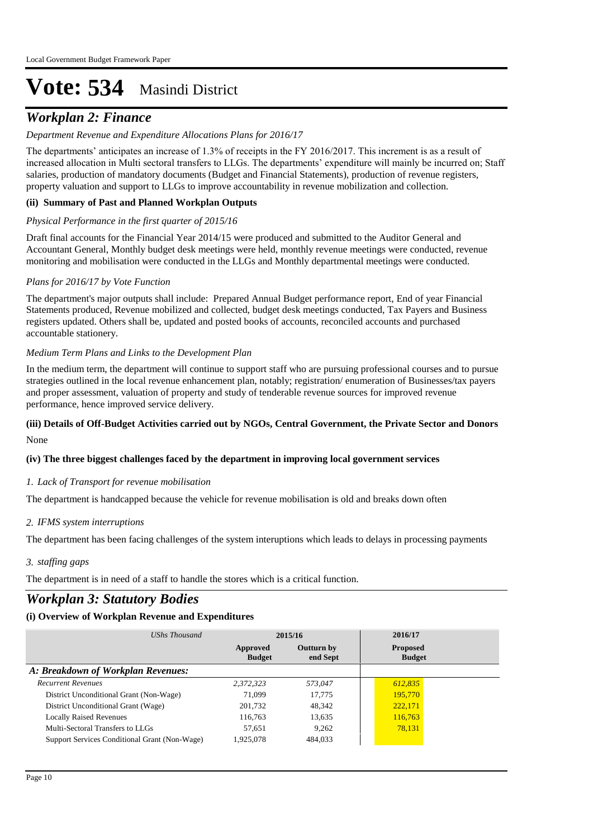# *Workplan 2: Finance*

# *Department Revenue and Expenditure Allocations Plans for 2016/17*

The departments' anticipates an increase of 1.3% of receipts in the FY 2016/2017. This increment is as a result of increased allocation in Multi sectoral transfers to LLGs. The departments' expenditure will mainly be incurred on; Staff salaries, production of mandatory documents (Budget and Financial Statements), production of revenue registers, property valuation and support to LLGs to improve accountability in revenue mobilization and collection.

# **(ii) Summary of Past and Planned Workplan Outputs**

# *Physical Performance in the first quarter of 2015/16*

Draft final accounts for the Financial Year 2014/15 were produced and submitted to the Auditor General and Accountant General, Monthly budget desk meetings were held, monthly revenue meetings were conducted, revenue monitoring and mobilisation were conducted in the LLGs and Monthly departmental meetings were conducted.

#### *Plans for 2016/17 by Vote Function*

The department's major outputs shall include: Prepared Annual Budget performance report, End of year Financial Statements produced, Revenue mobilized and collected, budget desk meetings conducted, Tax Payers and Business registers updated. Others shall be, updated and posted books of accounts, reconciled accounts and purchased accountable stationery.

#### *Medium Term Plans and Links to the Development Plan*

In the medium term, the department will continue to support staff who are pursuing professional courses and to pursue strategies outlined in the local revenue enhancement plan, notably; registration/ enumeration of Businesses/tax payers and proper assessment, valuation of property and study of tenderable revenue sources for improved revenue performance, hence improved service delivery.

# None **(iii) Details of Off-Budget Activities carried out by NGOs, Central Government, the Private Sector and Donors**

# **(iv) The three biggest challenges faced by the department in improving local government services**

# *Lack of Transport for revenue mobilisation 1.*

The department is handcapped because the vehicle for revenue mobilisation is old and breaks down often

#### *IFMS system interruptions 2.*

The department has been facing challenges of the system interuptions which leads to delays in processing payments

*staffing gaps 3.*

The department is in need of a staff to handle the stores which is a critical function.

# *Workplan 3: Statutory Bodies*

| UShs Thousand                                 | 2015/16                   |                               | 2016/17                          |  |
|-----------------------------------------------|---------------------------|-------------------------------|----------------------------------|--|
|                                               | Approved<br><b>Budget</b> | <b>Outturn by</b><br>end Sept | <b>Proposed</b><br><b>Budget</b> |  |
| A: Breakdown of Workplan Revenues:            |                           |                               |                                  |  |
| <b>Recurrent Revenues</b>                     | 2,372,323                 | 573,047                       | 612,835                          |  |
| District Unconditional Grant (Non-Wage)       | 71,099                    | 17.775                        | 195,770                          |  |
| District Unconditional Grant (Wage)           | 201,732                   | 48.342                        | 222,171                          |  |
| <b>Locally Raised Revenues</b>                | 116,763                   | 13,635                        | 116,763                          |  |
| Multi-Sectoral Transfers to LLGs              | 57.651                    | 9.262                         | 78,131                           |  |
| Support Services Conditional Grant (Non-Wage) | 1,925,078                 | 484,033                       |                                  |  |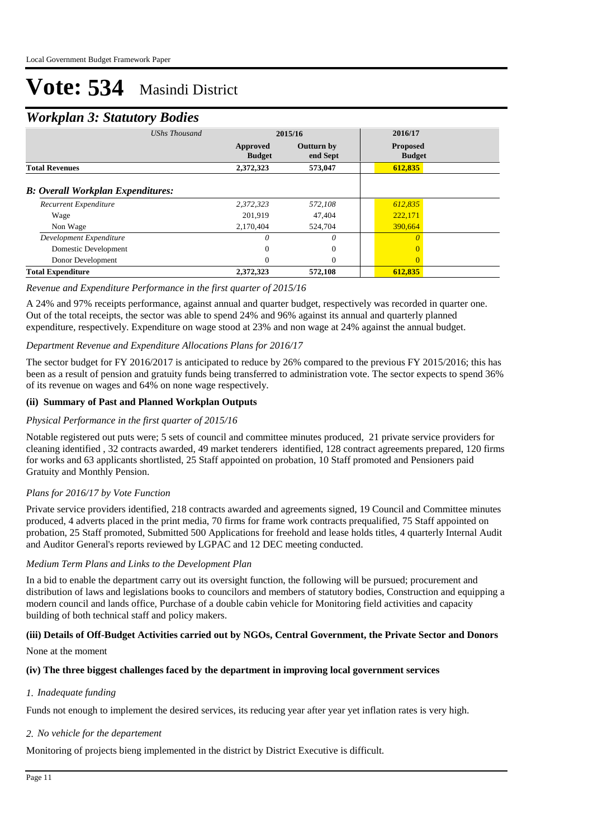# *Workplan 3: Statutory Bodies*

|                                          | $\checkmark$         |                           |                               |                                  |  |
|------------------------------------------|----------------------|---------------------------|-------------------------------|----------------------------------|--|
|                                          | <b>UShs Thousand</b> |                           | 2015/16                       |                                  |  |
|                                          |                      | Approved<br><b>Budget</b> | <b>Outturn by</b><br>end Sept | <b>Proposed</b><br><b>Budget</b> |  |
| <b>Total Revenues</b>                    |                      | 2,372,323                 | 573,047                       | 612,835                          |  |
| <b>B: Overall Workplan Expenditures:</b> |                      |                           |                               |                                  |  |
| Recurrent Expenditure                    |                      | 2,372,323                 | 572,108                       | 612,835                          |  |
| Wage                                     |                      | 201,919                   | 47,404                        | 222,171                          |  |
| Non Wage                                 |                      | 2,170,404                 | 524,704                       | 390,664                          |  |
| Development Expenditure                  |                      | 0                         | 0                             | $\Omega$                         |  |
| Domestic Development                     |                      | 0                         | $\mathbf{0}$                  |                                  |  |
| Donor Development                        |                      | 0                         | $\Omega$                      | $\Omega$                         |  |
| <b>Total Expenditure</b>                 |                      | 2,372,323                 | 572,108                       | 612,835                          |  |

# *Revenue and Expenditure Performance in the first quarter of 2015/16*

A 24% and 97% receipts performance, against annual and quarter budget, respectively was recorded in quarter one. Out of the total receipts, the sector was able to spend 24% and 96% against its annual and quarterly planned expenditure, respectively. Expenditure on wage stood at 23% and non wage at 24% against the annual budget.

# *Department Revenue and Expenditure Allocations Plans for 2016/17*

The sector budget for FY 2016/2017 is anticipated to reduce by 26% compared to the previous FY 2015/2016; this has been as a result of pension and gratuity funds being transferred to administration vote. The sector expects to spend 36% of its revenue on wages and 64% on none wage respectively.

# **(ii) Summary of Past and Planned Workplan Outputs**

#### *Physical Performance in the first quarter of 2015/16*

Notable registered out puts were; 5 sets of council and committee minutes produced, 21 private service providers for cleaning identified , 32 contracts awarded, 49 market tenderers identified, 128 contract agreements prepared, 120 firms for works and 63 applicants shortlisted, 25 Staff appointed on probation, 10 Staff promoted and Pensioners paid Gratuity and Monthly Pension.

# *Plans for 2016/17 by Vote Function*

Private service providers identified, 218 contracts awarded and agreements signed, 19 Council and Committee minutes produced, 4 adverts placed in the print media, 70 firms for frame work contracts prequalified, 75 Staff appointed on probation, 25 Staff promoted, Submitted 500 Applications for freehold and lease holds titles, 4 quarterly Internal Audit and Auditor General's reports reviewed by LGPAC and 12 DEC meeting conducted.

#### *Medium Term Plans and Links to the Development Plan*

In a bid to enable the department carry out its oversight function, the following will be pursued; procurement and distribution of laws and legislations books to councilors and members of statutory bodies, Construction and equipping a modern council and lands office, Purchase of a double cabin vehicle for Monitoring field activities and capacity building of both technical staff and policy makers.

# **(iii) Details of Off-Budget Activities carried out by NGOs, Central Government, the Private Sector and Donors**

#### None at the moment

#### **(iv) The three biggest challenges faced by the department in improving local government services**

#### *Inadequate funding 1.*

Funds not enough to implement the desired services, its reducing year after year yet inflation rates is very high.

# *No vehicle for the departement 2.*

Monitoring of projects bieng implemented in the district by District Executive is difficult.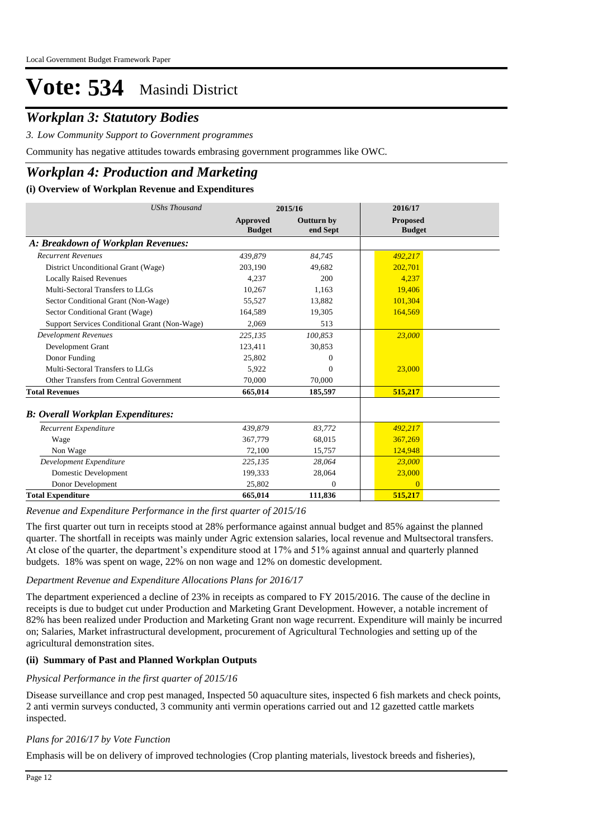# *Workplan 3: Statutory Bodies*

*Low Community Support to Government programmes 3.*

Community has negative attitudes towards embrasing government programmes like OWC.

# *Workplan 4: Production and Marketing*

# **(i) Overview of Workplan Revenue and Expenditures**

| <b>UShs Thousand</b>                          |                                  | 2015/16                       | 2016/17                          |
|-----------------------------------------------|----------------------------------|-------------------------------|----------------------------------|
|                                               | <b>Approved</b><br><b>Budget</b> | <b>Outturn by</b><br>end Sept | <b>Proposed</b><br><b>Budget</b> |
| A: Breakdown of Workplan Revenues:            |                                  |                               |                                  |
| <b>Recurrent Revenues</b>                     | 439,879                          | 84,745                        | 492,217                          |
| District Unconditional Grant (Wage)           | 203,190                          | 49.682                        | 202,701                          |
| <b>Locally Raised Revenues</b>                | 4.237                            | 200                           | 4.237                            |
| Multi-Sectoral Transfers to LLGs              | 10.267                           | 1.163                         | 19,406                           |
| Sector Conditional Grant (Non-Wage)           | 55.527                           | 13,882                        | 101,304                          |
| Sector Conditional Grant (Wage)               | 164,589                          | 19,305                        | 164,569                          |
| Support Services Conditional Grant (Non-Wage) | 2,069                            | 513                           |                                  |
| <b>Development Revenues</b>                   | 225,135                          | 100,853                       | 23,000                           |
| Development Grant                             | 123,411                          | 30,853                        |                                  |
| Donor Funding                                 | 25,802                           | 0                             |                                  |
| Multi-Sectoral Transfers to LLGs              | 5.922                            | $\Omega$                      | 23,000                           |
| Other Transfers from Central Government       | 70,000                           | 70,000                        |                                  |
| <b>Total Revenues</b>                         | 665,014                          | 185,597                       | 515,217                          |
| <b>B: Overall Workplan Expenditures:</b>      |                                  |                               |                                  |
| Recurrent Expenditure                         | 439.879                          | 83.772                        | 492,217                          |
| Wage                                          | 367,779                          | 68,015                        | 367,269                          |
| Non Wage                                      | 72.100                           | 15,757                        | 124,948                          |
| Development Expenditure                       | 225,135                          | 28.064                        | 23,000                           |
| Domestic Development                          | 199,333                          | 28,064                        | 23,000                           |
| Donor Development                             | 25,802                           | $\overline{0}$                | $\overline{0}$                   |
| <b>Total Expenditure</b>                      | 665,014                          | 111,836                       | 515,217                          |

*Revenue and Expenditure Performance in the first quarter of 2015/16*

The first quarter out turn in receipts stood at 28% performance against annual budget and 85% against the planned quarter. The shortfall in receipts was mainly under Agric extension salaries, local revenue and Multsectoral transfers. At close of the quarter, the department's expenditure stood at 17% and 51% against annual and quarterly planned budgets. 18% was spent on wage, 22% on non wage and 12% on domestic development.

# *Department Revenue and Expenditure Allocations Plans for 2016/17*

The department experienced a decline of 23% in receipts as compared to FY 2015/2016. The cause of the decline in receipts is due to budget cut under Production and Marketing Grant Development. However, a notable increment of 82% has been realized under Production and Marketing Grant non wage recurrent. Expenditure will mainly be incurred on; Salaries, Market infrastructural development, procurement of Agricultural Technologies and setting up of the agricultural demonstration sites.

# **(ii) Summary of Past and Planned Workplan Outputs**

# *Physical Performance in the first quarter of 2015/16*

Disease surveillance and crop pest managed, Inspected 50 aquaculture sites, inspected 6 fish markets and check points, 2 anti vermin surveys conducted, 3 community anti vermin operations carried out and 12 gazetted cattle markets inspected.

# *Plans for 2016/17 by Vote Function*

Emphasis will be on delivery of improved technologies (Crop planting materials, livestock breeds and fisheries),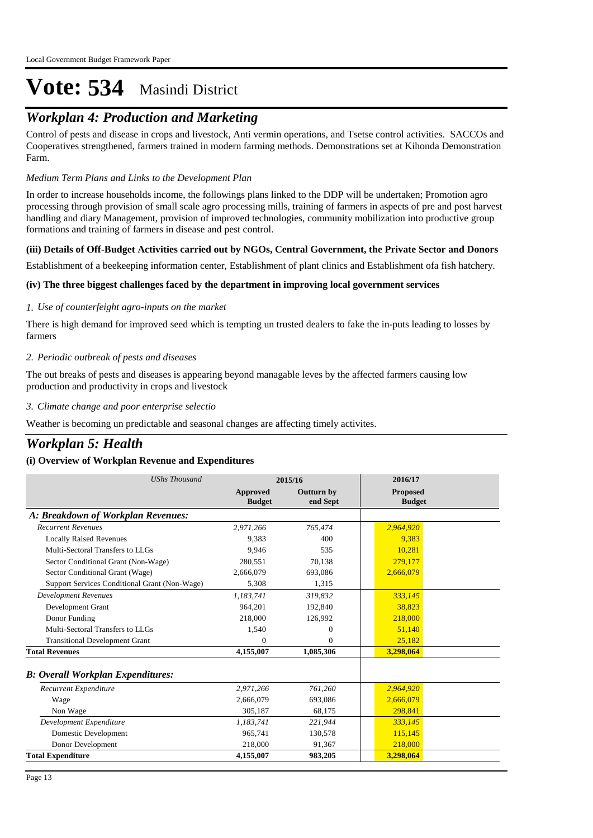# *Workplan 4: Production and Marketing*

Control of pests and disease in crops and livestock, Anti vermin operations, and Tsetse control activities. SACCOs and Cooperatives strengthened, farmers trained in modern farming methods. Demonstrations set at Kihonda Demonstration Farm.

# *Medium Term Plans and Links to the Development Plan*

In order to increase households income, the followings plans linked to the DDP will be undertaken; Promotion agro processing through provision of small scale agro processing mills, training of farmers in aspects of pre and post harvest handling and diary Management, provision of improved technologies, community mobilization into productive group formations and training of farmers in disease and pest control.

# **(iii) Details of Off-Budget Activities carried out by NGOs, Central Government, the Private Sector and Donors**

Establishment of a beekeeping information center, Establishment of plant clinics and Establishment ofa fish hatchery.

# **(iv) The three biggest challenges faced by the department in improving local government services**

# *Use of counterfeight agro-inputs on the market 1.*

There is high demand for improved seed which is tempting un trusted dealers to fake the in-puts leading to losses by farmers

# *Periodic outbreak of pests and diseases 2.*

The out breaks of pests and diseases is appearing beyond managable leves by the affected farmers causing low production and productivity in crops and livestock

*Climate change and poor enterprise selectio 3.*

Weather is becoming un predictable and seasonal changes are affecting timely activites.

# *Workplan 5: Health*

| <b>UShs Thousand</b>                          |                           | 2015/16                       | 2016/17                          |
|-----------------------------------------------|---------------------------|-------------------------------|----------------------------------|
|                                               | Approved<br><b>Budget</b> | <b>Outturn by</b><br>end Sept | <b>Proposed</b><br><b>Budget</b> |
| A: Breakdown of Workplan Revenues:            |                           |                               |                                  |
| <b>Recurrent Revenues</b>                     | 2.971.266                 | 765,474                       | 2,964,920                        |
| <b>Locally Raised Revenues</b>                | 9,383                     | 400                           | 9,383                            |
| Multi-Sectoral Transfers to LLGs              | 9.946                     | 535                           | 10.281                           |
| Sector Conditional Grant (Non-Wage)           | 280.551                   | 70.138                        | 279,177                          |
| Sector Conditional Grant (Wage)               | 2,666,079                 | 693,086                       | 2,666,079                        |
| Support Services Conditional Grant (Non-Wage) | 5.308                     | 1,315                         |                                  |
| <b>Development Revenues</b>                   | 1,183,741                 | 319,832                       | 333,145                          |
| Development Grant                             | 964,201                   | 192,840                       | 38,823                           |
| Donor Funding                                 | 218,000                   | 126,992                       | 218,000                          |
| Multi-Sectoral Transfers to LLGs              | 1,540                     | $\Omega$                      | 51,140                           |
| <b>Transitional Development Grant</b>         | $\Omega$                  | $\Omega$                      | 25,182                           |
| <b>Total Revenues</b>                         | 4,155,007                 | 1,085,306                     | 3,298,064                        |
| <b>B</b> : Overall Workplan Expenditures:     |                           |                               |                                  |
| Recurrent Expenditure                         | 2,971,266                 | 761,260                       | 2,964,920                        |
| Wage                                          | 2,666,079                 | 693.086                       | 2,666,079                        |
| Non Wage                                      | 305,187                   | 68,175                        | 298,841                          |
| Development Expenditure                       | 1,183,741                 | 221,944                       | 333,145                          |
| Domestic Development                          | 965.741                   | 130,578                       | 115,145                          |
| Donor Development                             | 218,000                   | 91.367                        | 218,000                          |
| <b>Total Expenditure</b>                      | 4,155,007                 | 983,205                       | 3.298.064                        |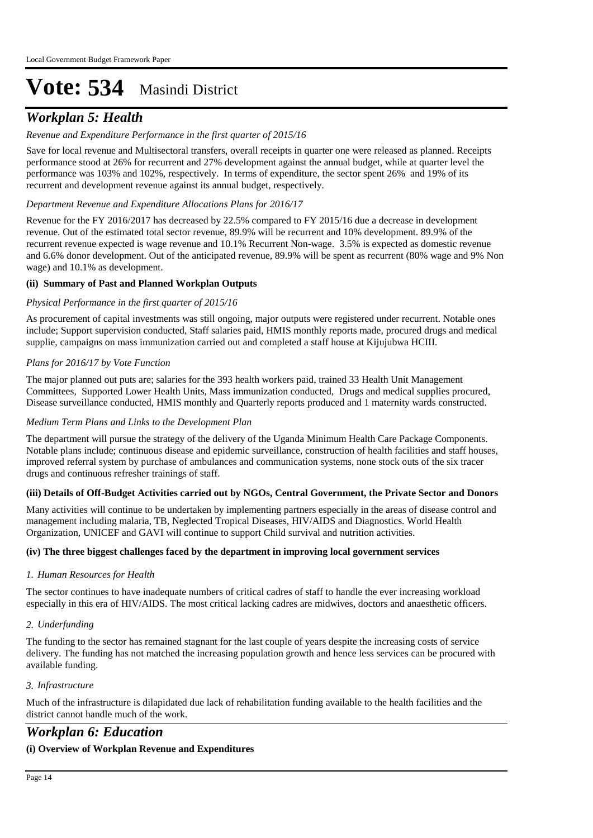# *Workplan 5: Health*

# *Revenue and Expenditure Performance in the first quarter of 2015/16*

Save for local revenue and Multisectoral transfers, overall receipts in quarter one were released as planned. Receipts performance stood at 26% for recurrent and 27% development against the annual budget, while at quarter level the performance was 103% and 102%, respectively. In terms of expenditure, the sector spent 26% and 19% of its recurrent and development revenue against its annual budget, respectively.

# *Department Revenue and Expenditure Allocations Plans for 2016/17*

Revenue for the FY 2016/2017 has decreased by 22.5% compared to FY 2015/16 due a decrease in development revenue. Out of the estimated total sector revenue, 89.9% will be recurrent and 10% development. 89.9% of the recurrent revenue expected is wage revenue and 10.1% Recurrent Non-wage. 3.5% is expected as domestic revenue and 6.6% donor development. Out of the anticipated revenue, 89.9% will be spent as recurrent (80% wage and 9% Non wage) and 10.1% as development.

# **(ii) Summary of Past and Planned Workplan Outputs**

# *Physical Performance in the first quarter of 2015/16*

As procurement of capital investments was still ongoing, major outputs were registered under recurrent. Notable ones include; Support supervision conducted, Staff salaries paid, HMIS monthly reports made, procured drugs and medical supplie, campaigns on mass immunization carried out and completed a staff house at Kijujubwa HCIII.

# *Plans for 2016/17 by Vote Function*

The major planned out puts are; salaries for the 393 health workers paid, trained 33 Health Unit Management Committees, Supported Lower Health Units, Mass immunization conducted, Drugs and medical supplies procured, Disease surveillance conducted, HMIS monthly and Quarterly reports produced and 1 maternity wards constructed.

#### *Medium Term Plans and Links to the Development Plan*

The department will pursue the strategy of the delivery of the Uganda Minimum Health Care Package Components. Notable plans include; continuous disease and epidemic surveillance, construction of health facilities and staff houses, improved referral system by purchase of ambulances and communication systems, none stock outs of the six tracer drugs and continuous refresher trainings of staff.

# **(iii) Details of Off-Budget Activities carried out by NGOs, Central Government, the Private Sector and Donors**

Many activities will continue to be undertaken by implementing partners especially in the areas of disease control and management including malaria, TB, Neglected Tropical Diseases, HIV/AIDS and Diagnostics. World Health Organization, UNICEF and GAVI will continue to support Child survival and nutrition activities.

# **(iv) The three biggest challenges faced by the department in improving local government services**

# *Human Resources for Health 1.*

The sector continues to have inadequate numbers of critical cadres of staff to handle the ever increasing workload especially in this era of HIV/AIDS. The most critical lacking cadres are midwives, doctors and anaesthetic officers.

# *Underfunding 2.*

The funding to the sector has remained stagnant for the last couple of years despite the increasing costs of service delivery. The funding has not matched the increasing population growth and hence less services can be procured with available funding.

# *Infrastructure 3.*

Much of the infrastructure is dilapidated due lack of rehabilitation funding available to the health facilities and the district cannot handle much of the work.

# *Workplan 6: Education*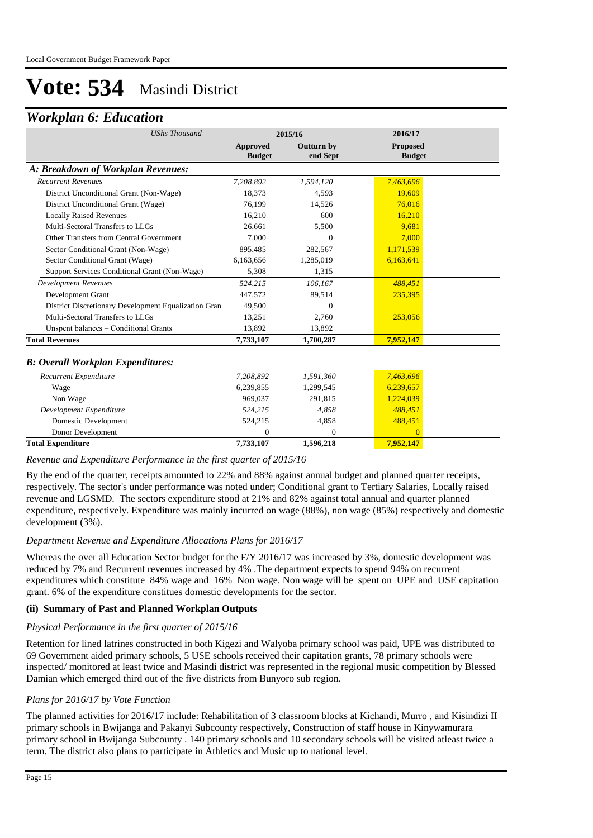# *Workplan 6: Education*

| <b>UShs Thousand</b>                                 |                                  | 2015/16                       | 2016/17                          |  |
|------------------------------------------------------|----------------------------------|-------------------------------|----------------------------------|--|
|                                                      | <b>Approved</b><br><b>Budget</b> | <b>Outturn by</b><br>end Sept | <b>Proposed</b><br><b>Budget</b> |  |
| A: Breakdown of Workplan Revenues:                   |                                  |                               |                                  |  |
| <b>Recurrent Revenues</b>                            | 7,208,892                        | 1,594,120                     | 7,463,696                        |  |
| District Unconditional Grant (Non-Wage)              | 18,373                           | 4,593                         | 19,609                           |  |
| District Unconditional Grant (Wage)                  | 76,199                           | 14,526                        | 76,016                           |  |
| <b>Locally Raised Revenues</b>                       | 16.210                           | 600                           | 16.210                           |  |
| Multi-Sectoral Transfers to LLGs                     | 26,661                           | 5,500                         | 9,681                            |  |
| Other Transfers from Central Government              | 7,000                            | $\Omega$                      | 7,000                            |  |
| Sector Conditional Grant (Non-Wage)                  | 895,485                          | 282,567                       | 1,171,539                        |  |
| Sector Conditional Grant (Wage)                      | 6,163,656                        | 1,285,019                     | 6,163,641                        |  |
| Support Services Conditional Grant (Non-Wage)        | 5,308                            | 1,315                         |                                  |  |
| <b>Development Revenues</b>                          | 524,215                          | 106,167                       | 488,451                          |  |
| Development Grant                                    | 447,572                          | 89,514                        | 235,395                          |  |
| District Discretionary Development Equalization Gran | 49.500                           | $\Omega$                      |                                  |  |
| Multi-Sectoral Transfers to LLGs                     | 13,251                           | 2,760                         | 253,056                          |  |
| Unspent balances - Conditional Grants                | 13,892                           | 13,892                        |                                  |  |
| <b>Total Revenues</b>                                | 7,733,107                        | 1,700,287                     | 7,952,147                        |  |
| <b>B: Overall Workplan Expenditures:</b>             |                                  |                               |                                  |  |
| Recurrent Expenditure                                | 7,208,892                        | 1,591,360                     | 7,463,696                        |  |
| Wage                                                 | 6,239,855                        | 1,299,545                     | 6,239,657                        |  |
| Non Wage                                             | 969,037                          | 291,815                       | 1,224,039                        |  |
| Development Expenditure                              | 524,215                          | 4,858                         | 488,451                          |  |
| <b>Domestic Development</b>                          | 524,215                          | 4,858                         | 488,451                          |  |
| Donor Development                                    | 0                                | $\Omega$                      | $\Omega$                         |  |
| <b>Total Expenditure</b>                             | 7,733,107                        | 1.596.218                     | 7.952.147                        |  |

*Revenue and Expenditure Performance in the first quarter of 2015/16*

By the end of the quarter, receipts amounted to 22% and 88% against annual budget and planned quarter receipts, respectively. The sector's under performance was noted under; Conditional grant to Tertiary Salaries, Locally raised revenue and LGSMD. The sectors expenditure stood at 21% and 82% against total annual and quarter planned expenditure, respectively. Expenditure was mainly incurred on wage (88%), non wage (85%) respectively and domestic development (3%).

# *Department Revenue and Expenditure Allocations Plans for 2016/17*

Whereas the over all Education Sector budget for the F/Y 2016/17 was increased by 3%, domestic development was reduced by 7% and Recurrent revenues increased by 4% .The department expects to spend 94% on recurrent expenditures which constitute 84% wage and 16% Non wage. Non wage will be spent on UPE and USE capitation grant. 6% of the expenditure constitues domestic developments for the sector.

# **(ii) Summary of Past and Planned Workplan Outputs**

# *Physical Performance in the first quarter of 2015/16*

Retention for lined latrines constructed in both Kigezi and Walyoba primary school was paid, UPE was distributed to 69 Government aided primary schools, 5 USE schools received their capitation grants, 78 primary schools were inspected/ monitored at least twice and Masindi district was represented in the regional music competition by Blessed Damian which emerged third out of the five districts from Bunyoro sub region.

# *Plans for 2016/17 by Vote Function*

The planned activities for 2016/17 include: Rehabilitation of 3 classroom blocks at Kichandi, Murro , and Kisindizi II primary schools in Bwijanga and Pakanyi Subcounty respectively, Construction of staff house in Kinywamurara primary school in Bwijanga Subcounty . 140 primary schools and 10 secondary schools will be visited atleast twice a term. The district also plans to participate in Athletics and Music up to national level.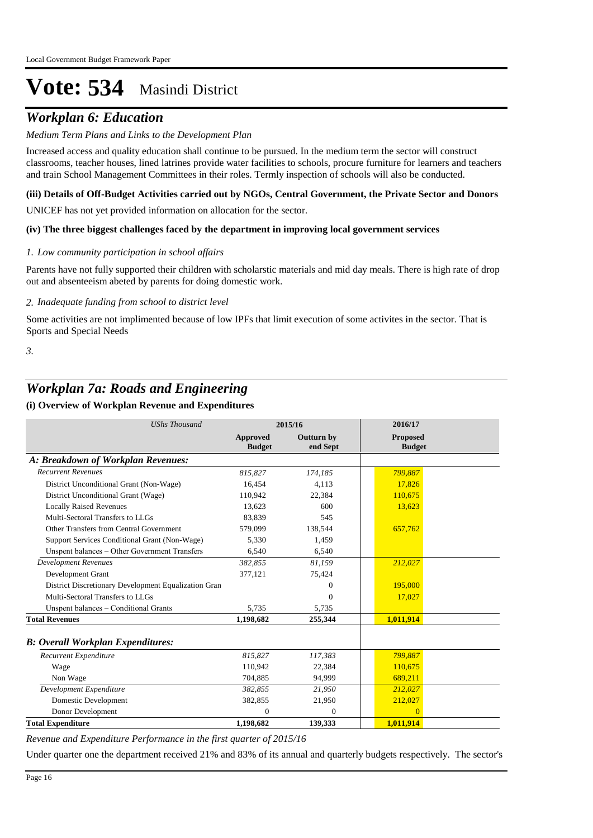# *Workplan 6: Education*

# *Medium Term Plans and Links to the Development Plan*

Increased access and quality education shall continue to be pursued. In the medium term the sector will construct classrooms, teacher houses, lined latrines provide water facilities to schools, procure furniture for learners and teachers and train School Management Committees in their roles. Termly inspection of schools will also be conducted.

#### **(iii) Details of Off-Budget Activities carried out by NGOs, Central Government, the Private Sector and Donors**

UNICEF has not yet provided information on allocation for the sector.

# **(iv) The three biggest challenges faced by the department in improving local government services**

#### *Low community participation in school affairs 1.*

Parents have not fully supported their children with scholarstic materials and mid day meals. There is high rate of drop out and absenteeism abeted by parents for doing domestic work.

*Inadequate funding from school to district level 2.*

Some activities are not implimented because of low IPFs that limit execution of some activites in the sector. That is Sports and Special Needs

*3.*

# *Workplan 7a: Roads and Engineering*

# **(i) Overview of Workplan Revenue and Expenditures**

| <b>UShs Thousand</b>                                 |                           | 2015/16                       | 2016/17                          |  |
|------------------------------------------------------|---------------------------|-------------------------------|----------------------------------|--|
|                                                      | Approved<br><b>Budget</b> | <b>Outturn by</b><br>end Sept | <b>Proposed</b><br><b>Budget</b> |  |
| A: Breakdown of Workplan Revenues:                   |                           |                               |                                  |  |
| <b>Recurrent Revenues</b>                            | 815,827                   | 174,185                       | 799.887                          |  |
| District Unconditional Grant (Non-Wage)              | 16,454                    | 4,113                         | 17,826                           |  |
| District Unconditional Grant (Wage)                  | 110,942                   | 22,384                        | 110,675                          |  |
| <b>Locally Raised Revenues</b>                       | 13.623                    | 600                           | 13,623                           |  |
| Multi-Sectoral Transfers to LLGs                     | 83.839                    | 545                           |                                  |  |
| Other Transfers from Central Government              | 579,099                   | 138,544                       | 657,762                          |  |
| Support Services Conditional Grant (Non-Wage)        | 5,330                     | 1,459                         |                                  |  |
| Unspent balances - Other Government Transfers        | 6,540                     | 6,540                         |                                  |  |
| <b>Development Revenues</b>                          | 382,855                   | 81,159                        | 212,027                          |  |
| Development Grant                                    | 377,121                   | 75,424                        |                                  |  |
| District Discretionary Development Equalization Gran |                           | $\Omega$                      | 195,000                          |  |
| Multi-Sectoral Transfers to LLGs                     |                           | $\Omega$                      | 17,027                           |  |
| Unspent balances - Conditional Grants                | 5,735                     | 5,735                         |                                  |  |
| <b>Total Revenues</b>                                | 1,198,682                 | 255,344                       | 1,011,914                        |  |
| <b>B: Overall Workplan Expenditures:</b>             |                           |                               |                                  |  |
| Recurrent Expenditure                                | 815,827                   | 117,383                       | 799,887                          |  |
| Wage                                                 | 110.942                   | 22,384                        | 110.675                          |  |
| Non Wage                                             | 704,885                   | 94,999                        | 689,211                          |  |
| Development Expenditure                              | 382,855                   | 21,950                        | 212,027                          |  |
| <b>Domestic Development</b>                          | 382,855                   | 21,950                        | 212,027                          |  |
| Donor Development                                    | $\Omega$                  | $\mathbf{0}$                  | $\Omega$                         |  |
| <b>Total Expenditure</b>                             | 1,198,682                 | 139,333                       | 1,011,914                        |  |

*Revenue and Expenditure Performance in the first quarter of 2015/16*

Under quarter one the department received 21% and 83% of its annual and quarterly budgets respectively. The sector's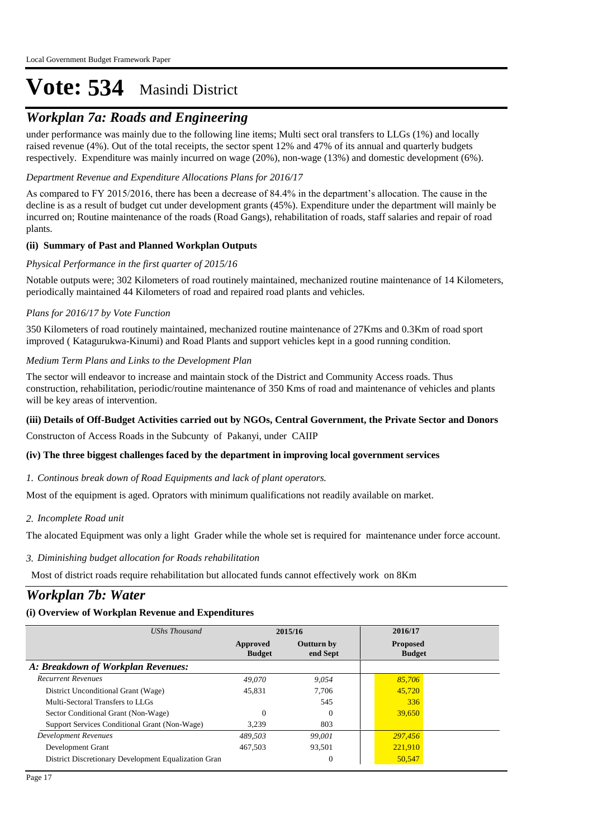# *Workplan 7a: Roads and Engineering*

under performance was mainly due to the following line items; Multi sect oral transfers to LLGs (1%) and locally raised revenue (4%). Out of the total receipts, the sector spent 12% and 47% of its annual and quarterly budgets respectively. Expenditure was mainly incurred on wage (20%), non-wage (13%) and domestic development (6%).

# *Department Revenue and Expenditure Allocations Plans for 2016/17*

As compared to FY 2015/2016, there has been a decrease of 84.4% in the department's allocation. The cause in the decline is as a result of budget cut under development grants (45%). Expenditure under the department will mainly be incurred on; Routine maintenance of the roads (Road Gangs), rehabilitation of roads, staff salaries and repair of road plants.

# **(ii) Summary of Past and Planned Workplan Outputs**

# *Physical Performance in the first quarter of 2015/16*

Notable outputs were; 302 Kilometers of road routinely maintained, mechanized routine maintenance of 14 Kilometers, periodically maintained 44 Kilometers of road and repaired road plants and vehicles.

# *Plans for 2016/17 by Vote Function*

350 Kilometers of road routinely maintained, mechanized routine maintenance of 27Kms and 0.3Km of road sport improved ( Katagurukwa-Kinumi) and Road Plants and support vehicles kept in a good running condition.

# *Medium Term Plans and Links to the Development Plan*

The sector will endeavor to increase and maintain stock of the District and Community Access roads. Thus construction, rehabilitation, periodic/routine maintenance of 350 Kms of road and maintenance of vehicles and plants will be key areas of intervention.

# **(iii) Details of Off-Budget Activities carried out by NGOs, Central Government, the Private Sector and Donors**

Constructon of Access Roads in the Subcunty of Pakanyi, under CAIIP

# **(iv) The three biggest challenges faced by the department in improving local government services**

# *Continous break down of Road Equipments and lack of plant operators. 1.*

Most of the equipment is aged. Oprators with minimum qualifications not readily available on market.

# *Incomplete Road unit 2.*

The alocated Equipment was only a light Grader while the whole set is required for maintenance under force account.

# *Diminishing budget allocation for Roads rehabilitation 3.*

Most of district roads require rehabilitation but allocated funds cannot effectively work on 8Km

# *Workplan 7b: Water*

| UShs Thousand                                        | 2015/16                   |                               | 2016/17                          |
|------------------------------------------------------|---------------------------|-------------------------------|----------------------------------|
|                                                      | Approved<br><b>Budget</b> | <b>Outturn by</b><br>end Sept | <b>Proposed</b><br><b>Budget</b> |
| A: Breakdown of Workplan Revenues:                   |                           |                               |                                  |
| <b>Recurrent Revenues</b>                            | 49.070                    | 9.054                         | 85,706                           |
| District Unconditional Grant (Wage)                  | 45.831                    | 7.706                         | 45,720                           |
| Multi-Sectoral Transfers to LLGs                     |                           | 545                           | 336                              |
| Sector Conditional Grant (Non-Wage)                  | $\Omega$                  | $\Omega$                      | 39,650                           |
| Support Services Conditional Grant (Non-Wage)        | 3.239                     | 803                           |                                  |
| Development Revenues                                 | 489.503                   | 99.001                        | 297,456                          |
| Development Grant                                    | 467.503                   | 93,501                        | 221,910                          |
| District Discretionary Development Equalization Gran |                           | $\theta$                      | 50,547                           |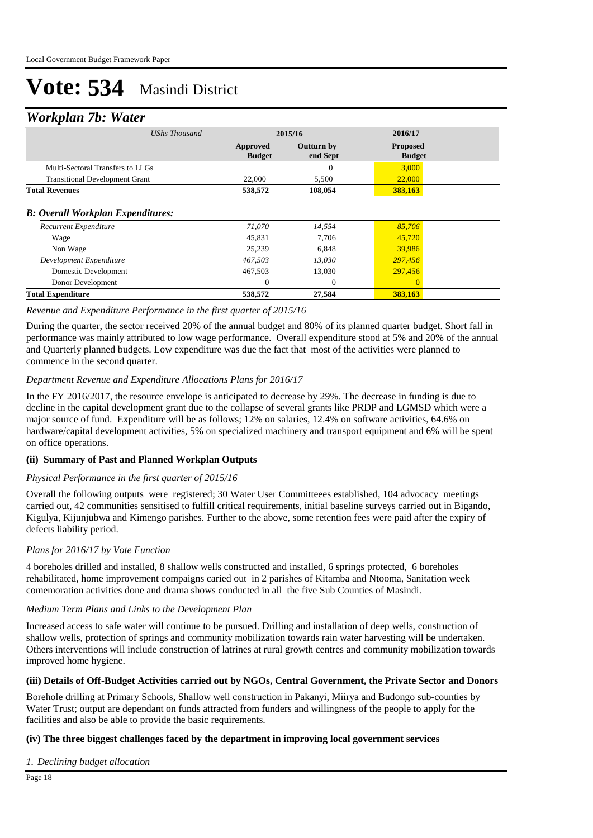# *Workplan 7b: Water*

| ┻                                                                 |                           |                               |                                  |
|-------------------------------------------------------------------|---------------------------|-------------------------------|----------------------------------|
| UShs Thousand                                                     | 2015/16                   |                               | 2016/17                          |
|                                                                   | Approved<br><b>Budget</b> | <b>Outturn by</b><br>end Sept | <b>Proposed</b><br><b>Budget</b> |
| Multi-Sectoral Transfers to LLGs                                  |                           | $\mathbf{0}$                  | 3,000                            |
| <b>Transitional Development Grant</b>                             | 22,000                    | 5,500                         | 22,000                           |
| <b>Total Revenues</b>                                             | 538,572                   | 108,054                       | 383,163                          |
| <b>B:</b> Overall Workplan Expenditures:<br>Recurrent Expenditure | 71,070                    | 14,554                        | 85,706                           |
|                                                                   |                           |                               |                                  |
| Wage                                                              | 45,831                    | 7,706                         | 45,720                           |
| Non Wage                                                          | 25,239                    | 6,848                         | 39,986                           |
| Development Expenditure                                           | 467,503                   | 13,030                        | 297,456                          |
| Domestic Development                                              | 467,503                   | 13,030                        | 297,456                          |
| Donor Development                                                 | 0                         | $\theta$                      | $\overline{0}$                   |
| <b>Total Expenditure</b>                                          | 538,572                   | 27,584                        | 383,163                          |

#### *Revenue and Expenditure Performance in the first quarter of 2015/16*

During the quarter, the sector received 20% of the annual budget and 80% of its planned quarter budget. Short fall in performance was mainly attributed to low wage performance. Overall expenditure stood at 5% and 20% of the annual and Quarterly planned budgets. Low expenditure was due the fact that most of the activities were planned to commence in the second quarter.

# *Department Revenue and Expenditure Allocations Plans for 2016/17*

In the FY 2016/2017, the resource envelope is anticipated to decrease by 29%. The decrease in funding is due to decline in the capital development grant due to the collapse of several grants like PRDP and LGMSD which were a major source of fund. Expenditure will be as follows; 12% on salaries, 12.4% on software activities, 64.6% on hardware/capital development activities, 5% on specialized machinery and transport equipment and 6% will be spent on office operations.

# **(ii) Summary of Past and Planned Workplan Outputs**

#### *Physical Performance in the first quarter of 2015/16*

Overall the following outputs were registered; 30 Water User Committeees established, 104 advocacy meetings carried out, 42 communities sensitised to fulfill critical requirements, initial baseline surveys carried out in Bigando, Kigulya, Kijunjubwa and Kimengo parishes. Further to the above, some retention fees were paid after the expiry of defects liability period.

# *Plans for 2016/17 by Vote Function*

4 boreholes drilled and installed, 8 shallow wells constructed and installed, 6 springs protected, 6 boreholes rehabilitated, home improvement compaigns caried out in 2 parishes of Kitamba and Ntooma, Sanitation week comemoration activities done and drama shows conducted in all the five Sub Counties of Masindi.

# *Medium Term Plans and Links to the Development Plan*

Increased access to safe water will continue to be pursued. Drilling and installation of deep wells, construction of shallow wells, protection of springs and community mobilization towards rain water harvesting will be undertaken. Others interventions will include construction of latrines at rural growth centres and community mobilization towards improved home hygiene.

# **(iii) Details of Off-Budget Activities carried out by NGOs, Central Government, the Private Sector and Donors**

Borehole drilling at Primary Schools, Shallow well construction in Pakanyi, Miirya and Budongo sub-counties by Water Trust; output are dependant on funds attracted from funders and willingness of the people to apply for the facilities and also be able to provide the basic requirements.

# **(iv) The three biggest challenges faced by the department in improving local government services**

*Declining budget allocation 1.*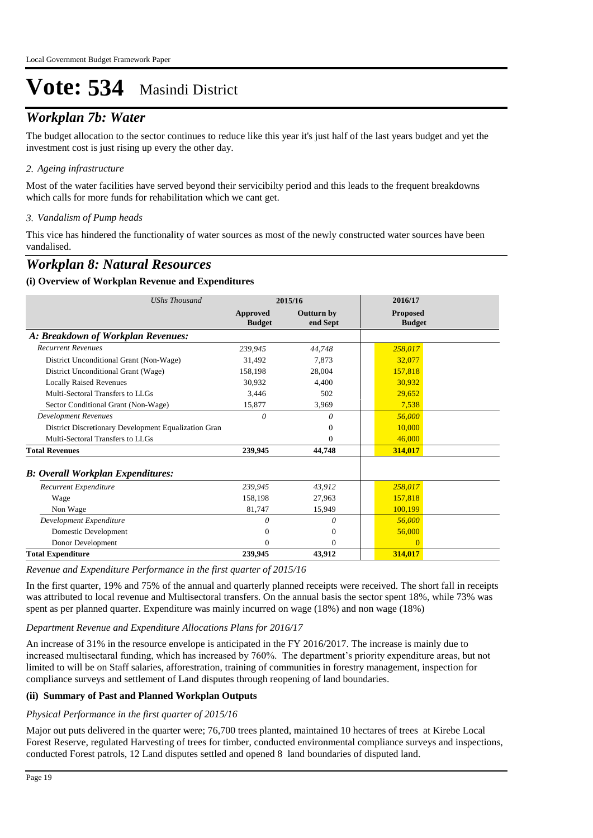# *Workplan 7b: Water*

The budget allocation to the sector continues to reduce like this year it's just half of the last years budget and yet the investment cost is just rising up every the other day.

# *Ageing infrastructure 2.*

Most of the water facilities have served beyond their servicibilty period and this leads to the frequent breakdowns which calls for more funds for rehabilitation which we cant get.

# *Vandalism of Pump heads 3.*

This vice has hindered the functionality of water sources as most of the newly constructed water sources have been vandalised.

# *Workplan 8: Natural Resources*

# **(i) Overview of Workplan Revenue and Expenditures**

| <b>UShs Thousand</b>                                 | 2015/16                          |                               | 2016/17                          |
|------------------------------------------------------|----------------------------------|-------------------------------|----------------------------------|
|                                                      | <b>Approved</b><br><b>Budget</b> | <b>Outturn by</b><br>end Sept | <b>Proposed</b><br><b>Budget</b> |
| A: Breakdown of Workplan Revenues:                   |                                  |                               |                                  |
| <b>Recurrent Revenues</b>                            | 239,945                          | 44,748                        | 258,017                          |
| District Unconditional Grant (Non-Wage)              | 31,492                           | 7,873                         | 32,077                           |
| District Unconditional Grant (Wage)                  | 158,198                          | 28,004                        | 157,818                          |
| <b>Locally Raised Revenues</b>                       | 30,932                           | 4,400                         | 30,932                           |
| Multi-Sectoral Transfers to LLGs                     | 3,446                            | 502                           | 29,652                           |
| Sector Conditional Grant (Non-Wage)                  | 15,877                           | 3,969                         | 7,538                            |
| <b>Development Revenues</b>                          | $\theta$                         | 0                             | 56,000                           |
| District Discretionary Development Equalization Gran |                                  | $_{0}$                        | 10,000                           |
| Multi-Sectoral Transfers to LLGs                     |                                  | 0                             | 46,000                           |
| <b>Total Revenues</b>                                | 239,945                          | 44,748                        | 314,017                          |
| <b>B: Overall Workplan Expenditures:</b>             |                                  |                               |                                  |
| Recurrent Expenditure                                | 239,945                          | 43,912                        | 258,017                          |
| Wage                                                 | 158,198                          | 27,963                        | 157,818                          |
| Non Wage                                             | 81,747                           | 15,949                        | 100,199                          |
| Development Expenditure                              | 0                                | $\theta$                      | 56,000                           |
| Domestic Development                                 | 0                                | 0                             | 56,000                           |
| Donor Development                                    | 0                                | 0                             | $\Omega$                         |
| <b>Total Expenditure</b>                             | 239,945                          | 43.912                        | 314,017                          |

*Revenue and Expenditure Performance in the first quarter of 2015/16*

In the first quarter, 19% and 75% of the annual and quarterly planned receipts were received. The short fall in receipts was attributed to local revenue and Multisectoral transfers. On the annual basis the sector spent 18%, while 73% was spent as per planned quarter. Expenditure was mainly incurred on wage (18%) and non wage (18%)

# *Department Revenue and Expenditure Allocations Plans for 2016/17*

An increase of 31% in the resource envelope is anticipated in the FY 2016/2017. The increase is mainly due to increased multisectaral funding, which has increased by 760%. The department's priority expenditure areas, but not limited to will be on Staff salaries, afforestration, training of communities in forestry management, inspection for compliance surveys and settlement of Land disputes through reopening of land boundaries.

# **(ii) Summary of Past and Planned Workplan Outputs**

# *Physical Performance in the first quarter of 2015/16*

Major out puts delivered in the quarter were; 76,700 trees planted, maintained 10 hectares of trees at Kirebe Local Forest Reserve, regulated Harvesting of trees for timber, conducted environmental compliance surveys and inspections, conducted Forest patrols, 12 Land disputes settled and opened 8 land boundaries of disputed land.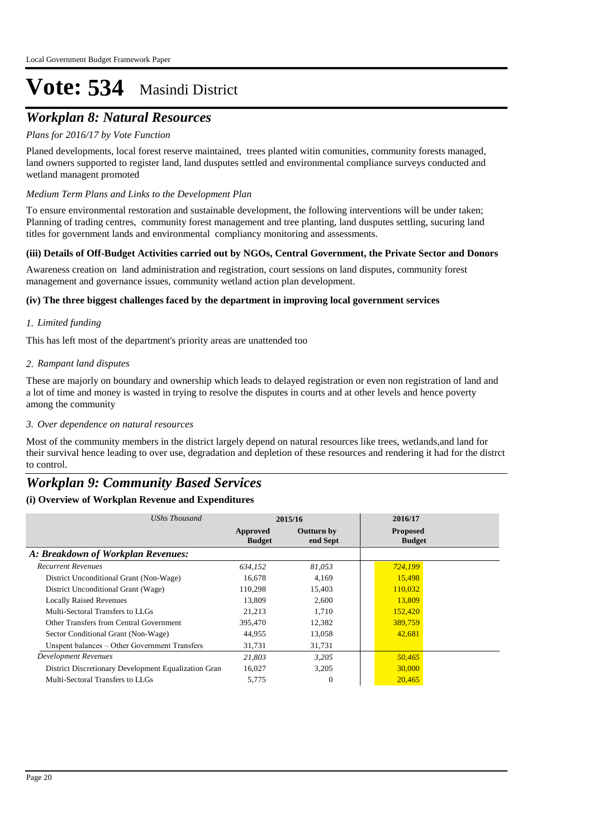# *Workplan 8: Natural Resources*

# *Plans for 2016/17 by Vote Function*

Planed developments, local forest reserve maintained, trees planted witin comunities, community forests managed, land owners supported to register land, land dusputes settled and environmental compliance surveys conducted and wetland managent promoted

# *Medium Term Plans and Links to the Development Plan*

To ensure environmental restoration and sustainable development, the following interventions will be under taken; Planning of trading centres, community forest management and tree planting, land dusputes settling, sucuring land titles for government lands and environmental compliancy monitoring and assessments.

# **(iii) Details of Off-Budget Activities carried out by NGOs, Central Government, the Private Sector and Donors**

Awareness creation on land administration and registration, court sessions on land disputes, community forest management and governance issues, community wetland action plan development.

# **(iv) The three biggest challenges faced by the department in improving local government services**

#### *Limited funding 1.*

This has left most of the department's priority areas are unattended too

#### *Rampant land disputes 2.*

These are majorly on boundary and ownership which leads to delayed registration or even non registration of land and a lot of time and money is wasted in trying to resolve the disputes in courts and at other levels and hence poverty among the community

#### *Over dependence on natural resources 3.*

Most of the community members in the district largely depend on natural resources like trees, wetlands,and land for their survival hence leading to over use, degradation and depletion of these resources and rendering it had for the distrct to control.

# *Workplan 9: Community Based Services*

| UShs Thousand                                        | 2015/16                   |                               | 2016/17                          |
|------------------------------------------------------|---------------------------|-------------------------------|----------------------------------|
|                                                      | Approved<br><b>Budget</b> | <b>Outturn by</b><br>end Sept | <b>Proposed</b><br><b>Budget</b> |
| A: Breakdown of Workplan Revenues:                   |                           |                               |                                  |
| <b>Recurrent Revenues</b>                            | 634.152                   | 81.053                        | 724,199                          |
| District Unconditional Grant (Non-Wage)              | 16.678                    | 4.169                         | 15,498                           |
| District Unconditional Grant (Wage)                  | 110,298                   | 15,403                        | 110,032                          |
| <b>Locally Raised Revenues</b>                       | 13,809                    | 2,600                         | 13,809                           |
| Multi-Sectoral Transfers to LLGs                     | 21,213                    | 1,710                         | 152,420                          |
| Other Transfers from Central Government              | 395,470                   | 12,382                        | 389,759                          |
| Sector Conditional Grant (Non-Wage)                  | 44,955                    | 13,058                        | 42,681                           |
| Unspent balances – Other Government Transfers        | 31,731                    | 31,731                        |                                  |
| Development Revenues                                 | 21,803                    | 3.205                         | 50,465                           |
| District Discretionary Development Equalization Gran | 16,027                    | 3,205                         | 30,000                           |
| Multi-Sectoral Transfers to LLGs                     | 5,775                     | $\Omega$                      | 20,465                           |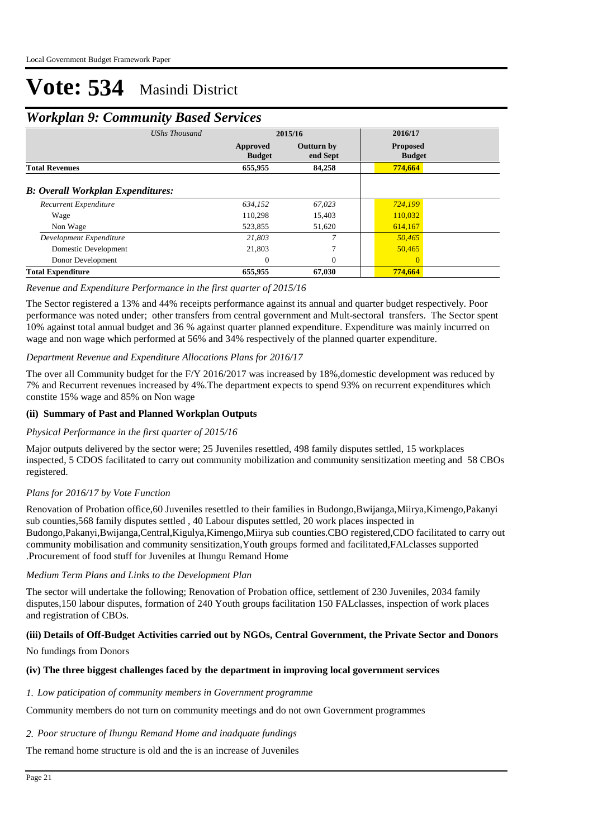# *Workplan 9: Community Based Services*

| <b>UShs Thousand</b>                     | 2015/16                   |                               | 2016/17                          |  |  |
|------------------------------------------|---------------------------|-------------------------------|----------------------------------|--|--|
|                                          | Approved<br><b>Budget</b> | <b>Outturn by</b><br>end Sept | <b>Proposed</b><br><b>Budget</b> |  |  |
| <b>Total Revenues</b>                    | 655,955                   | 84,258                        | 774,664                          |  |  |
| <b>B: Overall Workplan Expenditures:</b> |                           |                               |                                  |  |  |
| Recurrent Expenditure                    | 634.152                   | 67.023                        | 724,199                          |  |  |
| Wage                                     | 110,298                   | 15,403                        | 110,032                          |  |  |
| Non Wage                                 | 523,855                   | 51,620                        | 614,167                          |  |  |
| Development Expenditure                  | 21,803                    | 7                             | 50,465                           |  |  |
| Domestic Development                     | 21,803                    | 7                             | 50,465                           |  |  |
| Donor Development                        | $\Omega$                  | $\Omega$                      | $\Omega$                         |  |  |
| <b>Total Expenditure</b>                 | 655,955                   | 67,030                        | 774,664                          |  |  |

#### *Revenue and Expenditure Performance in the first quarter of 2015/16*

The Sector registered a 13% and 44% receipts performance against its annual and quarter budget respectively. Poor performance was noted under; other transfers from central government and Mult-sectoral transfers. The Sector spent 10% against total annual budget and 36 % against quarter planned expenditure. Expenditure was mainly incurred on wage and non wage which performed at 56% and 34% respectively of the planned quarter expenditure.

# *Department Revenue and Expenditure Allocations Plans for 2016/17*

The over all Community budget for the F/Y 2016/2017 was increased by 18%, domestic development was reduced by 7% and Recurrent revenues increased by 4%.The department expects to spend 93% on recurrent expenditures which constite 15% wage and 85% on Non wage

#### **(ii) Summary of Past and Planned Workplan Outputs**

# *Physical Performance in the first quarter of 2015/16*

Major outputs delivered by the sector were; 25 Juveniles resettled, 498 family disputes settled, 15 workplaces inspected, 5 CDOS facilitated to carry out community mobilization and community sensitization meeting and 58 CBOs registered.

# *Plans for 2016/17 by Vote Function*

Renovation of Probation office,60 Juveniles resettled to their families in Budongo,Bwijanga,Miirya,Kimengo,Pakanyi sub counties,568 family disputes settled , 40 Labour disputes settled, 20 work places inspected in Budongo,Pakanyi,Bwijanga,Central,Kigulya,Kimengo,Miirya sub counties.CBO registered,CDO facilitated to carry out community mobilisation and community sensitization,Youth groups formed and facilitated,FALclasses supported .Procurement of food stuff for Juveniles at Ihungu Remand Home

#### *Medium Term Plans and Links to the Development Plan*

The sector will undertake the following; Renovation of Probation office, settlement of 230 Juveniles, 2034 family disputes,150 labour disputes, formation of 240 Youth groups facilitation 150 FALclasses, inspection of work places and registration of CBOs.

# **(iii) Details of Off-Budget Activities carried out by NGOs, Central Government, the Private Sector and Donors**

#### No fundings from Donors

#### **(iv) The three biggest challenges faced by the department in improving local government services**

#### *Low paticipation of community members in Government programme 1.*

Community members do not turn on community meetings and do not own Government programmes

# *Poor structure of Ihungu Remand Home and inadquate fundings 2.*

The remand home structure is old and the is an increase of Juveniles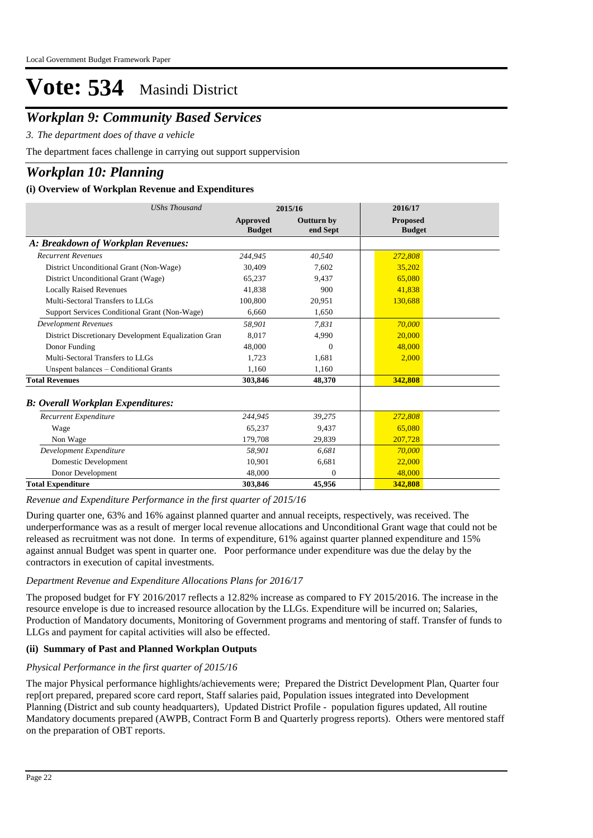# *Workplan 9: Community Based Services*

*The department does of thave a vehicle 3.*

The department faces challenge in carrying out support suppervision

# *Workplan 10: Planning*

# **(i) Overview of Workplan Revenue and Expenditures**

| <b>UShs Thousand</b>                                 | 2015/16                   |                               | 2016/17                          |
|------------------------------------------------------|---------------------------|-------------------------------|----------------------------------|
|                                                      | Approved<br><b>Budget</b> | <b>Outturn by</b><br>end Sept | <b>Proposed</b><br><b>Budget</b> |
| A: Breakdown of Workplan Revenues:                   |                           |                               |                                  |
| <b>Recurrent Revenues</b>                            | 244,945                   | 40,540                        | 272,808                          |
| District Unconditional Grant (Non-Wage)              | 30,409                    | 7.602                         | 35,202                           |
| District Unconditional Grant (Wage)                  | 65.237                    | 9.437                         | 65,080                           |
| <b>Locally Raised Revenues</b>                       | 41.838                    | 900                           | 41,838                           |
| Multi-Sectoral Transfers to LLGs                     | 100,800                   | 20,951                        | 130,688                          |
| Support Services Conditional Grant (Non-Wage)        | 6.660                     | 1,650                         |                                  |
| <b>Development Revenues</b>                          | 58,901                    | 7.831                         | 70,000                           |
| District Discretionary Development Equalization Gran | 8.017                     | 4,990                         | 20,000                           |
| Donor Funding                                        | 48,000                    | $\Omega$                      | 48,000                           |
| Multi-Sectoral Transfers to LLGs                     | 1.723                     | 1,681                         | 2,000                            |
| Unspent balances - Conditional Grants                | 1,160                     | 1,160                         |                                  |
| <b>Total Revenues</b>                                | 303,846                   | 48,370                        | 342,808                          |
| <b>B: Overall Workplan Expenditures:</b>             |                           |                               |                                  |
| Recurrent Expenditure                                | 244,945                   | 39,275                        | 272,808                          |
| Wage                                                 | 65.237                    | 9.437                         | 65,080                           |
| Non Wage                                             | 179,708                   | 29,839                        | 207.728                          |
| Development Expenditure                              | 58,901                    | 6,681                         | 70,000                           |
| Domestic Development                                 | 10,901                    | 6,681                         | 22,000                           |
| Donor Development                                    | 48,000                    | $\Omega$                      | 48,000                           |
| <b>Total Expenditure</b>                             | 303,846                   | 45,956                        | 342,808                          |

*Revenue and Expenditure Performance in the first quarter of 2015/16*

During quarter one, 63% and 16% against planned quarter and annual receipts, respectively, was received. The underperformance was as a result of merger local revenue allocations and Unconditional Grant wage that could not be released as recruitment was not done. In terms of expenditure, 61% against quarter planned expenditure and 15% against annual Budget was spent in quarter one. Poor performance under expenditure was due the delay by the contractors in execution of capital investments.

# *Department Revenue and Expenditure Allocations Plans for 2016/17*

The proposed budget for FY 2016/2017 reflects a 12.82% increase as compared to FY 2015/2016. The increase in the resource envelope is due to increased resource allocation by the LLGs. Expenditure will be incurred on; Salaries, Production of Mandatory documents, Monitoring of Government programs and mentoring of staff. Transfer of funds to LLGs and payment for capital activities will also be effected.

# **(ii) Summary of Past and Planned Workplan Outputs**

# *Physical Performance in the first quarter of 2015/16*

The major Physical performance highlights/achievements were; Prepared the District Development Plan, Quarter four rep[ort prepared, prepared score card report, Staff salaries paid, Population issues integrated into Development Planning (District and sub county headquarters), Updated District Profile - population figures updated, All routine Mandatory documents prepared (AWPB, Contract Form B and Quarterly progress reports). Others were mentored staff on the preparation of OBT reports.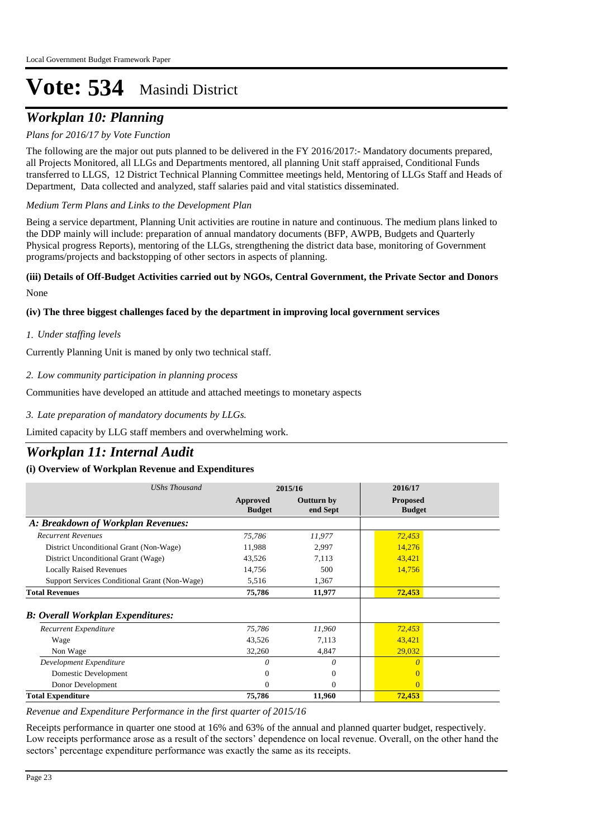# *Workplan 10: Planning*

# *Plans for 2016/17 by Vote Function*

The following are the major out puts planned to be delivered in the FY 2016/2017:- Mandatory documents prepared, all Projects Monitored, all LLGs and Departments mentored, all planning Unit staff appraised, Conditional Funds transferred to LLGS, 12 District Technical Planning Committee meetings held, Mentoring of LLGs Staff and Heads of Department, Data collected and analyzed, staff salaries paid and vital statistics disseminated.

# *Medium Term Plans and Links to the Development Plan*

Being a service department, Planning Unit activities are routine in nature and continuous. The medium plans linked to the DDP mainly will include: preparation of annual mandatory documents (BFP, AWPB, Budgets and Quarterly Physical progress Reports), mentoring of the LLGs, strengthening the district data base, monitoring of Government programs/projects and backstopping of other sectors in aspects of planning.

# None **(iii) Details of Off-Budget Activities carried out by NGOs, Central Government, the Private Sector and Donors**

# **(iv) The three biggest challenges faced by the department in improving local government services**

# *Under staffing levels 1.*

Currently Planning Unit is maned by only two technical staff.

# *Low community participation in planning process 2.*

Communities have developed an attitude and attached meetings to monetary aspects

# *Late preparation of mandatory documents by LLGs. 3.*

Limited capacity by LLG staff members and overwhelming work.

# *Workplan 11: Internal Audit*

# **(i) Overview of Workplan Revenue and Expenditures**

| <b>UShs Thousand</b>                          | 2015/16                          |                               | 2016/17                          |  |
|-----------------------------------------------|----------------------------------|-------------------------------|----------------------------------|--|
|                                               | <b>Approved</b><br><b>Budget</b> | <b>Outturn by</b><br>end Sept | <b>Proposed</b><br><b>Budget</b> |  |
| A: Breakdown of Workplan Revenues:            |                                  |                               |                                  |  |
| <b>Recurrent Revenues</b>                     | 75,786                           | 11,977                        | 72,453                           |  |
| District Unconditional Grant (Non-Wage)       | 11,988                           | 2,997                         | 14,276                           |  |
| District Unconditional Grant (Wage)           | 43,526                           | 7,113                         | 43,421                           |  |
| <b>Locally Raised Revenues</b>                | 14,756                           | 500                           | 14,756                           |  |
| Support Services Conditional Grant (Non-Wage) | 5,516                            | 1,367                         |                                  |  |
| <b>Total Revenues</b>                         | 75,786                           | 11,977                        | 72,453                           |  |
| <b>B: Overall Workplan Expenditures:</b>      |                                  |                               |                                  |  |
| Recurrent Expenditure                         | 75,786                           | 11,960                        | 72,453                           |  |
| Wage                                          | 43,526                           | 7,113                         | 43,421                           |  |
| Non Wage                                      | 32,260                           | 4,847                         | 29,032                           |  |
| Development Expenditure                       | 0                                | 0                             |                                  |  |
| Domestic Development                          | 0                                | $\mathbf{0}$                  |                                  |  |
| Donor Development                             | $\Omega$                         | $\Omega$                      | $\Omega$                         |  |
| <b>Total Expenditure</b>                      | 75,786                           | 11,960                        | 72,453                           |  |

*Revenue and Expenditure Performance in the first quarter of 2015/16*

Receipts performance in quarter one stood at 16% and 63% of the annual and planned quarter budget, respectively. Low receipts performance arose as a result of the sectors' dependence on local revenue. Overall, on the other hand the sectors' percentage expenditure performance was exactly the same as its receipts.